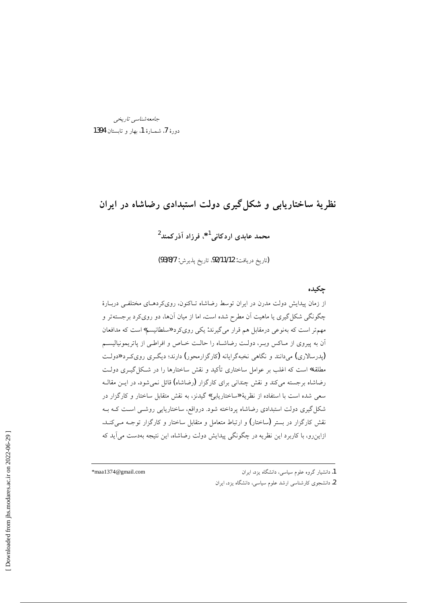جامعەشناسىي تارىخىي  $1394$  دورهٔ  $I$ ، شمـارهٔ 1، بهار و تابستان

# نظریهٔ ساختاریابی و شکل گیری دولت استبدادی رضاشاه در ایران

## محمد عابدي اردكاني<sup>1</sup>\*، فرزاد آذركمند<sup>2</sup>

(تاريخ دريافت: 92/11/12، تاريخ پذيرش: 93/8/7)

#### جكيده

از زمان پیدایش دولت مدرن در ایران توسط رضاشاه تـاکنون، رویکردهـای مختلفـی دربـارهٔ چگونگی شکل گیری یا ماهیت آن مطرح شده است. اما از میان آنها، دو رویکرد برجستهتر و مهم تر است که بهنوعی درمقابل هم قرار میگیرند: یکی رویکرد «سلطانیسم» است که مدافعان .<br>آن به پیروی از مـاکس وبـر، دولـت رضاشـاه را حالـت خــاص و افراطـی از پاتریمونیالیســم (پدرسالاري) مي دانند و نگاهي نخبهگرايانه (کارگزارمحور) دارند؛ ديگري روي کرد «دولت مطلقه» است که اغلب بر عوامل ساختاری تأکید و نقش ساختارها را در شکل گیــری دولـت رضاشاه برجسته می کند و نقش چندانی برای کارگزار (رضاشاه) قائل نمی شود. در ایــن مقالــه سعی شده است با استفاده از نظریهٔ «ساختاریابی» گیدنز، به نقش متقابل ساختار و کارگزار در شکل گیری دولت استبدادی رضاشاه برداخته شود. درواقع، ساختاریایی روشــی اسـت کــه بــه نقش کارگزار در بستر (ساختار) و ارتباط متعامل و متقابل ساختار و کارگزار توجـه مـیکنـد. ازاین٫رو، با کاربرد این نظریه در چگونگی پیدایش دولت رضاشاه، این نتیجه بهدست می آید که

\*maa1374@gmail.com

1. دانشیار گروه علوم سیاسی، دانشگاه یزد، ایران 2. دانشجوی کارشناسی ارشد علوم سیاسی، دانشگاه یزد، ایران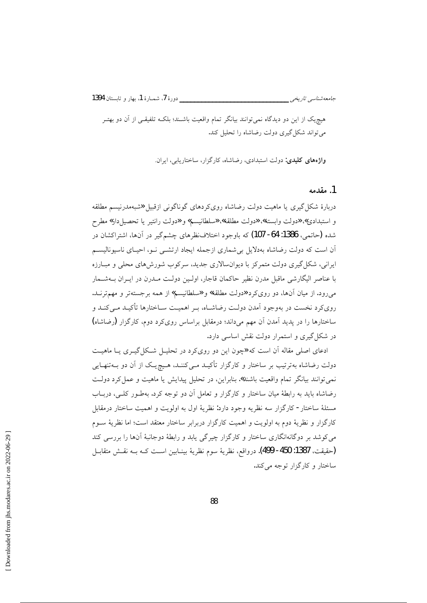جامعەشناسى تارىخى \_\_\_\_

هیچ،یک از این دو دیدگاه نمی توانند بیانگر تمام واقعیت باشـند؛ بلکـه تلفیقـی از آن دو بهتـر می تواند شکل گیری دولت رضاشاه را تحلیل کند.

واژههای کلیدی: دولت استبدادی، رضاشاه، کارگزار، ساختاریابی، ایران.

#### 1. مقدمه

دربارهٔ شکل گیری یا ماهیت دولت رضاشاه روی کردهای گوناگونی ازقبیل «شبهمدرنیسم مطلقه و استبدادي» «دولت وابسته»، «دولت مطلقه»، «سلطانيسم» و «دولت رانتير يا تحصيل دار» مطرح شده (حاتمي، 1386: 64- 107) كه باوجود اختلافنظرهاي چشمگير در آنها، اشتراكشان در آن است که دولت رضاشاه بهدلایل بی شماری ازجمله ایجاد ارتشــی نــو، احیــای ناسیونالیســم ایرانی، شکل گیری دولت متمرکز با دیوانسالاری جدید، سرکوب شورش های محلی و مبـارزه با عناصر اليگارشي ماقبل مدرن نظير حاكمان قاجار، اولـين دولـت مــدرن در ايــران بــهشــمار میرود. از میان آنها، دو روی کرد «دولت مطلقه» و «سلطانیسم» از همه برجستهتر و مهم ترنـد. رویکرد نخست در بهوجود آمدن دولـت رضاشــاه، بــر اهمیــت ســاختارها تأکیــد مــیکنــد و ساختارها را در پدید آمدن آن مهم میداند؛ درمقابل براساس روی کرد دوم، کارگزار (رضاشاه) در شکل گیری و استمرار دولت نقش اساسی دارد.

ادعای اصلی مقاله آن است که «چون این دو رویکرد در تحلیـل شـکل گیـری یــا ماهیــت دولت رضاشاه بهترتیب بر ساختار و کارگزار تأکیــد مــیEننــد، هــیچ یــک از آن دو بــهتنهــایی نمي توانند بيانگر تمام واقعيت باشند». بنابراين، در تحليل پيدايش يا ماهيت و عمل كرد دولت رضاشاه باید به رابطهٔ میان ساختار و کارگزار و تعامل آن دو توجه کرد. بهطـور کلـی، دربــاب مسئلهٔ ساختار - کارگزار سه نظریه وجود دارد: نظریهٔ اول به اولویت و اهمیت ساختار درمقابل كارگزار و نظريهٔ دوم به اولويت و اهميت كارگزار دربرابر ساختار معتقد است؛ اما نظريهٔ ســوم می کوشد بر دوگانهانگاری ساختار و کارگزار چیرگی یابد و رابطهٔ دوجانبهٔ آنها را بررسی کند (حقيقت، 1387: 450- 499). درواقع، نظرية سوم نظرية بينـابين اسـت كـه بـه نقـش متقابـل ساختار و کارگزار توجه می کند.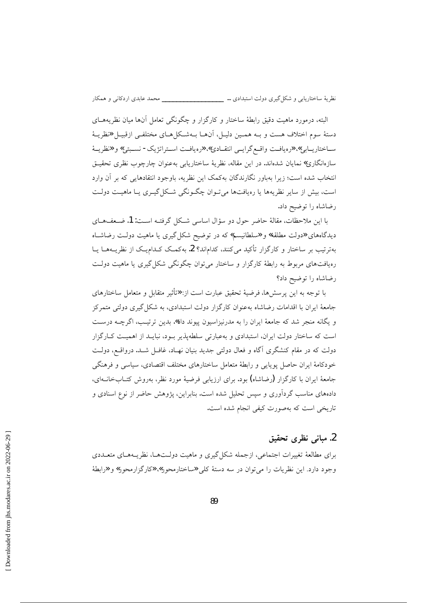البته، درمورد ماهیت دقیق رابطهٔ ساختار و کارگزار و چگونگی تعامل آنها میان نظریههــای دستهٔ سوم اختلاف هست و بـه همـین دلیـل، آنهـا بـهشـکل۵حـای مختلفـی ازقبیـل «نظریـهٔ ساختاريـابي» «ومافـت واقـع گرايـي انتقـادي» «ومافـت اسـتراتژيک- نسـبتي» و «نظريــهٔ سازهانگاری» نمایان شدهاند. در این مقاله، نظریهٔ ساختاریابی بهعنوان چارچوب نظری تحقیـق انتخاب شده است؛ زیرا بهباور نگارندگان بهکمک این نظریه، باوجود انتقادهایی که بر آن وارد است، بیش از سایر نظریهها یا رویافتها می تبوان چگیونگی شبکل گیبری یا ماهیت دولت رضاشاه را توضيح داد.

با اين ملاحظات، مقالهٔ حاضر حول دو سؤال اساسي شكل گرفتـه اسـت: 1. ضـعفهـاي دیدگاههای «دولت مطلقه» و «سلطانیسم» که در توضیح شکل گیری یا ماهیت دولت رضاشاه بهترتیب بر ساختار و کارگزار تأکید میکنند، کداماند؟ 2. بهکمک کـدامیـک از نظریــههــا یــا رهیافتهای مربوط به رابطهٔ کارگزار و ساختار میتوان چگونگی شکل گیری یا ماهیت دولت رضاشاه را توضيح داد؟

با توجه به این پرسشها، فرضیهٔ تحقیق عبارت است از: «تأثیر متقابل و متعامل ساختارهای جامعهٔ ایران با اقدامات رضاشاه بهعنوان کارگزار دولت استبدادی، به شکل گیری دولتی متمرکز و یگانه منجر شد که جامعهٔ ایران را به مدرنیزاسیون پیوند داد». بدین ترتیب، اگرچــه درسـت است که ساختار دولت ایران، استبدادی و بهعبارتی سلطهپذیر بود، نبایـد از اهمیـت کـارگزار دولت که در مقام کنشگری آگاه و فعال دولتی جدید بنیان نهـاد، غافـل شـد. درواقــع، دولـت خودكامهٔ ایران حاصل پویایی و رابطهٔ متعامل ساختارهای مختلف اقتصادی، سیاسی و فرهنگی جامعهٔ ایران با کارگزار (رضاشاه) بود. برای ارزیابی فرضیهٔ مورد نظر، بهروش کتــابخانــهای، دادههای مناسب گردآوری و سپس تحلیل شده است. بنابراین، پژوهش حاضر از نوع اسنادی و تاریخی است که بهصورت کیفی انجام شده است.

#### 2. مباني نظري تحقيق

برای مطالعهٔ تغییرات اجتماعی، ازجمله شکل گیری و ماهیت دولـتهـا، نظریـههـای متعــددی وجود دارد. این نظریات را می توان در سه دستهٔ کلی «ساختارمحور»، «کارگزارمحور» و «رابطهٔ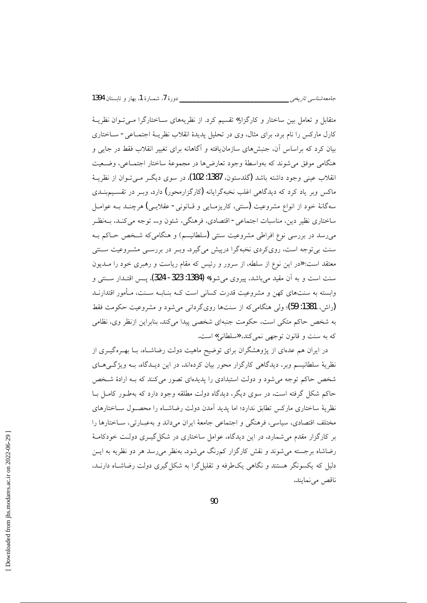متقابل و تعامل بین ساختار و کارگزار» تقسیم کرد. از نظریههای سـاختارگرا مـی تـوان نظریــهٔ كارل ماركس را نام برد. براي مثال، وي در تحليل پديدهٔ انقلاب نظريــهٔ اجتمــاعي - ســاختاري بیان کرد که براساس آن، جنبشهای سازمان یافته و آگاهانه برای تغییر انقلاب فقط در جایی و هنگامی موفق میشوند که بهواسطهٔ وجود تعارضها در مجموعهٔ ساختار اجتمـاعی، وضـعیت انقلاب عيني وجود داشته باشد (گلدستون، 1387: 102). در سوی ديگــر مــي تــوان از نظريــهٔ ماکس ویر یاد کرد که دیدگاهی اغلب نخبهگرایانه (کارگزارمحور) دارد. ویبر در تقسیم پنیدی سهگانهٔ خود از انواع مشروعیت (سنتی، کاریزمـایی و قــانونی- عقلایـی) هرچنــد بــه عوامــل ساختاري نظير دين، مناسبات اجتماعي - اقتصادي، فرهنگي، شئون و… توجه مي كنـد، بــهنظـر میررسد در بررسی نوع افراطی مشروعیت سنتی (سلطانیسم) و هنگامی که شـخص حـاکم بـه سنت بی توجه است، رویکردی نخبهگرا درپیش می گیرد. وبـر در بررسـی مشـروعیت سـنتی معتقد است: «در این نوع از سلطه، از سرور و رئیس که مقام ریاست و رهبری خود را مـدیون سنت است و به آن مقید می باشد، پیروی می شود**» (1384: 323- 324).** پس اقتـدار ســنتی و وابسته به سنتهای کهن و مشروعیت قدرت کسانی است کـه بنــابــه ســنت، مــأمور اقتدارنــد (راش، 1381: 59)؛ ولي هنگاميکه از سنتها رويگرداني مي شود و مشروعيت حکومت فقط به شخص حاکم متکی است، حکومت جنبهای شخصی پیدا می کند. بنابراین ازنظر وی، نظامی که به سنت و قانون توجهی نمیکند، **«**سلطانی» است.

در ایران هم عدمای از پژوهشگران برای توضیح ماهیت دولت رضاشـاه، بــا بهــرهگیــری از نظریهٔ سلطانیسم وبر، دیدگاهی کارگزار محور بیان کردهاند. در این دیـدگاه، بـه ویژگـی۵حـای شخص حاکم توجه می شود و دولت استبدادی را پدیدهای تصور می کنند که بـه ارادهٔ شـخص حاکم شکل گرفته است. در سوی دیگر، دیدگاه دولت مطلقه وجود دارد که بهطـور کامـل بـا نظریهٔ ساختاری مارکس تطابق ندارد؛ اما یدید آمدن دولت رضاشـاه را محصـول ســاختارهای مختلف اقتصادي، سياسي، فرهنگي و اجتماعي جامعهٔ ايران ميداند و بهعبــارتي، ســاختارها را بر کارگزار مقدم می شمارد. در این دیدگاه، عوامل ساختاری در شکل گیــری دولــت خودکامــهٔ رضاشاه برجسته می شوند و نقش کارگزار کمرنگ می شود. بهنظر می رسد هر دو نظریه به ایس دلیل که یکسونگر هستند و نگاهی یکطرفه و تقلیل گرا به شکل گیری دولت رضاشـاه دارنــد، ناقص مى نمايند.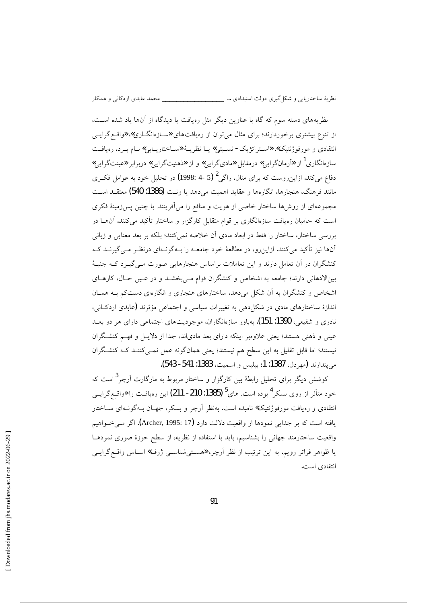نظریههای دسته سوم که گاه با عناوین دیگر مثل رهیافت یا دیدگاه از آنها یاد شده است، از تنوع بیشتری برخوردارند؛ برای مثال می توان از رهیافتهای «سازهانگاری»، «واقع گرایسی انتقادی و مورفوژنتیک»، «استراتژیک- نسبتی» یـا نظریـهٔ «سـاختاریـابی» نـام بـرد. رهیافـت سازهانگاری<sup>1</sup> از «آرمانگرایی» درمقابل «مادیگرایی» و از «ذهنیتگرایی» دربرابر «عینتگرایی» دفاع مي کند. ازاين روست که براي مثال، راگي <sup>2</sup> (5 -4 :1998) در تحليل خود به عوامل فک ي مانند فرهنگ، هنجارها، انگارهها و عقاید اهمیت می دهد یا ونت (1386: 540) معتقــد اســت مجموعهای از روشها ساختار خاصی از هویت و منافع را می اَفرینند. با چنین پسزهینهٔ فکری است که حامیان ره یافت سازهانگاری بر قوام متقابل کارگزار و ساختار تأکید می کنند. آنهــا در بررسی ساختار، ساختار را فقط در ابعاد مادی آن خلاصه نمی کنند؛ بلکه بر بعد معنایی و زبانی آنها نیز تأکید می کنند. ازاین رو، در مطالعهٔ خود جامعـه را بـهگونـهای درنظـر مـی گیرنــد کـه کنشگران در آن تعامل دارند و این تعاملات براساس هنجارهایی صورت مـی گیـرد کـه جنبـهٔ بینالاذهانی دارند؛ جامعه به اشخاص و کنشگران قوام مـیبخشــد و در عــین حــال، کارهــای اشخاص و کنشگران به آن شکل میدهد. ساختارهای هنجاری و انگارهای دستکم بـه همـان اندازهٔ ساختارهای مادی در شکل(دهی به تغییرات سیاسی و اجتماعی مؤثرند (عابدی اردکانی، نادری و شفیعی، 1390: 151). بهباور سازمانگاران، موجودیتهای اجتماعی دارای هر دو بعـد عینی و ذهنی هستند؛ یعنی علاوهبر اینکه دارای بعد مادیاند، جدا از دلایـل و فهـم کنشـگران نیستند؛ اما قابل تقلیل به این سطح هم نیستند؛ یعنی همانگونه عمل نمـیکننـد کـه کنشـگران مي يندارند (مهردل، 1387: 1؛ بيليس و اسميت، 1383: 541- 543).

کوشش دیگر برای تحلیل رابطهٔ بین کارگزار و ساختار مربوط به مارگارت آرچر<sup>3</sup> است که خود متأثر از روی بسکر<sup>4</sup> بوده است. های<sup>5</sup> (1385: 210- 211) این رەیافـت را «واقــع گرایــی انتقادی و ره یافت مورفوژنتیک» نامیده است. بهنظر آرچر و بسکر، جهـان بــهگونــهای ســاختار يافته است كه بر جدايي نمودها از واقعيت دلالت دارد (Archer, 1995: 17). اگر مـي خــواهيم واقعیت ساختارمند جهانی را بشناسیم، باید با استفاده از نظریه، از سطح حوزهٔ صوری نمودهـا یا ظواهر فراتر رویم. به این ترتیب از نظر آرچر، «هستی شناسبی ژرف» اسـاس واقـع گرایـبی انتقادى است.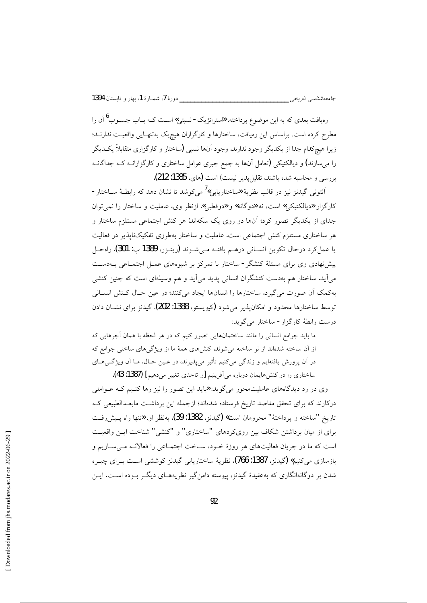رهیافت بعدی که به این موضوع پرداخته، «ستراتژیک- نسبتی» اسـت کــه بــاب جســوب<sup>6</sup> آن را مطرح کرده است. براساس این رهیافت، ساختارها و کارگزاران هیچیک بهتنهـایی واقعیـت ندارنـد؛ زیرا هیچکدام جدا از یکدیگر وجود ندارند. وجود آنها نسبی (ساختار و کارگزاری متقابلاً یک دیگر را میسازند) و دیالکتیکی (تعامل آنها به جمع جبری عوامل ساختاری و کارگزارانــه کــه جداگانــه بررسي و محاسبه شده باشند، تقليل يذير نيست) است (هاي، 1385: 212).

جامعەشناسى تارىخى \_\_\_\_

اّنتونی گیدنز نیز در قالب نظریهٔ «ساختاریابی»<sup>/</sup> می کوشد تا نشان دهد که رابطـهٔ ســاختار -کارگزار «دیالکتیکی» است، نه «دوگانه» و «دوقطبی». ازنظر وی، عاملیت و ساختار را نمی توان جدای از یکدیگر تصور کرد؛ آنها دو روی یک سکهاند: هر کنش اجتماعی مستلزم ساختار و هر ساختاری مستلزم کنش اجتماعی است. عاملیت و ساختار بهطرزی تفکیکناپذیر در فعالیت يا عمل كرد درحال تكوين انسـاني درهـم بافتـه مـيشـوند (ريتـزر، 1389 ب: 301). راهحـل پیشنهادی وی برای مسئلهٔ کنشگر - ساختار با تمرکز بر شیوههای عمـل اجتمـاعی بـهدسـت می آید. ساختار هم بهدست کنشگران انسانی پدید می آید و هم وسیلهای است که چنین کنشی بهكمك أن صورت مي گيرد. ساختارها را انسانها ايجاد مي كنند؛ در عين حـال كـنش انسـاني توسط ساختارها محدود و امکانپذیر می شود (کیویستو، 1388: 202). گیدنز برای نشـان دادن درست رابطهٔ کارگزار- ساختار می گوید:

ما باید جوامع انسانی را مانند ساختمانهایی تصور کنیم که در هر لحظه با همان آجرهایی که از آن ساخته شدهاند از نو ساخته می شوند. کنشهای همهٔ ما از ویژگیهای ساختی جوامع که در اَن پرورش یافتهایم و زندگی میکنیم تأثیر می پذیرند، در عـین حـال، مـا اَن ویژگـی۵حـای ساختاری را در کنشهایمان دوباره می اَفرینیم [و تاحدی تغییر می دهیم] (1387: 43).

وی در رد دیدگاههای عاملیتمحور میگوید: «باید این تصور را نیز رها کنیم کـه عـواملی درکارند که برای تحقق مقاصد تاریخ فرستاده شدهاند؛ ازجمله این برداشت مابعـدالطبیعی کـه تاريخ "ساخته و پرداختهٔ" محرومان است» (گيدنز، 1382: 39). بهنظر او، «تنها راه پـيشررفـت برای از میان برداشتن شکاف بین رویکردهای "ساختاری" و "کنشی" شناخت ایـن واقعیـت است كه ما در جريان فعاليتهاي هر روزهٔ خـود، سـاخت اجتمـاعي را فعالانـه مـيسـازيم و بازسازي مي كنيم» (گيدنز، 1387: 766). نظريهٔ ساختاريابي گيدنز كوششي اسـت بــراي چيــره شدن بر دوگانهانگاری که بهعقیدهٔ گیدنز، پیوسته دامن گیر نظریههـای دیگــر بــوده اســت. ایــن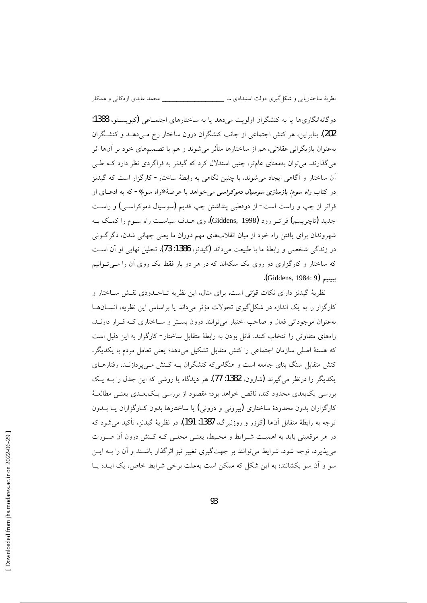دو گانهانگاريها يا به کنشگران اولويت مي دهد يا به ساختارهاي اجتمــاعي (کيوپســتو، 1388: 202). بنابراین، هر کنش اجتماعی از جانب کنشگران درون ساختار رخ مـی،دهــد و کنشـگران بهعنوان بازیگرانی عقلانی، هم از ساختارها متأثر میشوند و هم با تصمیمهای خود بر آنها اثر میگذارند. می توان بهمعنای عامتر، چنین استدلال کرد که گیدنز به فراگردی نظر دارد کـه طـی اّن ساختار و اَگاهی ایجاد می شوند. با چنین نگاهی به رابطهٔ ساختار - کارگزار است که گیدنز در کتاب *راه سوم: بازسازی سوسیال دموکراسی می خ*واهد با عرضهٔ «راه سوم»- که به ادعــای او فراتر از چپ و راست است- از دوقطبی پنداشتن چپ قدیم (سوسیال دموکراسـی) و راسـت جدید (تاچریسم) فراتـر رود (Giddens, 1998). وی هــدف سیاســت راه ســوم را کمــک بــه شهروندان برای یافتن راه خود از میان انقلابهای مهم دوران ما یعنی جهانی شدن، دگرگونی در زندگی شخصی و رابطهٔ ما با طبیعت میداند (گیدنز، 1386: 73). تحلیل نهایی او آن است که ساختار و کارگزاری دو روی یک سکهاند که در هر دو بار فقط یک روی آن را مـی تـوانیم ببينيم (Giddens, 1984: 9).

نظريهٔ گيدنز داراي نكات قوتتي است. براي مثال، اين نظريه تــاحــدودي نقــش ســاختار و کارگزار را به یک اندازه در شکل گیری تحولات مؤثر میداند یا براساس این نظریه، انسانها بهعنوان موجوداتی فعال و صاحب اختیار می توانند درون بستر و ساختاری کـه قـرار دارنـد، راههای متفاوتی را انتخاب کنند. قائل بودن به رابطهٔ متقابل ساختار- کارگزار به این دلیل است كه هستهٔ اصلی سازمان اجتماعی را كنش متقابل تشكيل میدهد؛ يعنی تعامل مردم با يكديگر. کنش متقابل سنگ بنای جامعه است و هنگامی که کنشگران بـه کـنش مـی پردازنـد، رفتارهـای یکدیگر را درنظر میگیرند (شارون، 1382: 77). هر دیدگاه یا روشی که این جدل را بــه یــک بررسی یکبعدی محدود کند، ناقص خواهد بود؛ مقصود از بررسی یـکبعـدی یعنــی مطالعــهٔ کارگزاران بدون محدودهٔ ساختاری (بیرونی و درونی) یا ساختارها بدون کـارگزاران یــا بــدون توجه به رابطهٔ متقابل آنها (کوزر و روزنبرگ، 1387: 191). در نظریهٔ گیدنز، تأکید می شود که در هر موقعیتی باید به اهمیت شـرایط و محـیط، یعنـی محلـی کـه کـنش درون آن صـورت می پذیرد، توجه شود. شرایط می توانند بر جهتگیری تغییر نیز اثرگذار باشـند و آن را بــه ایــن سو و آن سو بکشانند؛ به این شکل که ممکن است بهعلت برخی شرایط خاص، یک ایـده یـا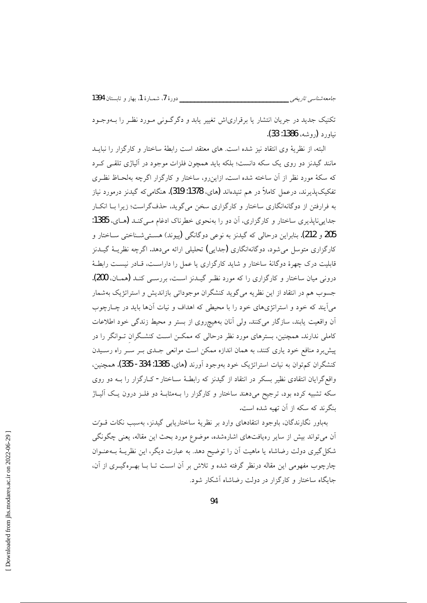تکنیک جدید در جریان انتشار یا برقراری ش تغییر پابد و دگر گـونی مـورد نظـر را بـهوجـود نياورد (روشه، 1386: 33).

البته، از نظريهٔ وى انتقاد نيز شده است. هاى معتقد است رابطهٔ ساختار و كارگزار را نبايــد مانند گیدنز دو روی یک سکه دانست؛ بلکه باید همچون فلزات موجود در آلیاژی تلقـی کـرد که سکهٔ مورد نظر از آن ساخته شده است. ازاین رو، ساختار و کارگزار اگرچه بهلحـاظ نظـری تفکیک پذیرند، درعمل کاملاً در هم تنبدهاند (های، 1378: 319). هنگامی که گیدنز درمورد نیاز به فرارفتن از دوگانهانگاری ساختار و کارگزاری سخن میگوید، حذفگراست؛ زیرا بـا انکـار جدایی ناپذیری ساختار و کارگزاری، آن دو را بهنحوی خطرناک ادغام مـی کنـد (هـای، 1385: 205 و 212). بنابراین درحالی که گیدنز به نوعی دوگانگی (پیوند) هســتیشــناختی ســاختار و کارگزاری متوسل می شود، دوگانهانگاری (جدایی) تحلیلی ارائه میدهد. اگرچه نظریـهٔ گیـدنز قابلیت درک چهرهٔ دوگانهٔ ساختار و شاید کارگزاری یا عمل را داراسـت، قـادر نیسـت رابطـهٔ درونی میان ساختار و کارگزاری را که مورد نظـر گیـدنز اسـت، بررسـی کنـد (همـان، 200). جسوب هم در انتقاد از این نظریه میگوید کنشگران موجوداتی بازاندیش و استراتژیک بهشمار میآیند که خود و استراتژیهای خود را با محیطی که اهداف و نیات آنها باید در چـارچوب آن واقعیت یابند، سازگار میکنند. ولی آنان بههیچروی از بستر و محیط زندگی خود اطلاعات کاملی ندارند. همچنین، بسترهای مورد نظر درحالی که ممکـن اسـت کنشـگران تــوانگر را در پیش برد منافع خود پاری کنند، به همان اندازه ممکن است موانعی جـدی بـر ســر راه رســیدن كنشگران كم توان به نيات استراتژيک خود بهوجود آورند (هاي، 1385: 334- 335). همچنين، واقع گرایان انتقادی نظیر بسکر در انتقاد از گیدنز که رابطهٔ سـاختار - کـارگزار را بــه دو روی سکه تشبیه کرده بود، ترجیح میدهند ساختار و کارگزار را بـهمثابـهٔ دو فلــز درون یـک آلیــاژ ىنگرند كه سكه از آن تهيه شده است.

بهباور نگارندگان، باوجود انتقادهای وارد بر نظریهٔ ساختاریابی گیدنز، بهسبب نکات قـوت آن میتواند بیش از سایر رهیافتهای اشارهشده، موضوع مورد بحث این مقاله، یعنی چگونگی شکل گیری دولت رضاشاه یا ماهیت آن را توضیح دهد. به عبارت دیگر، این نظریـهٔ بــهعنــوان چارچوب مفهومی این مقاله درنظر گرفته شده و تلاش بر آن است تــا بــا بهــرهگــری از آن، جایگاه ساختار و کارگزار در دولت رضاشاه آشکار شود.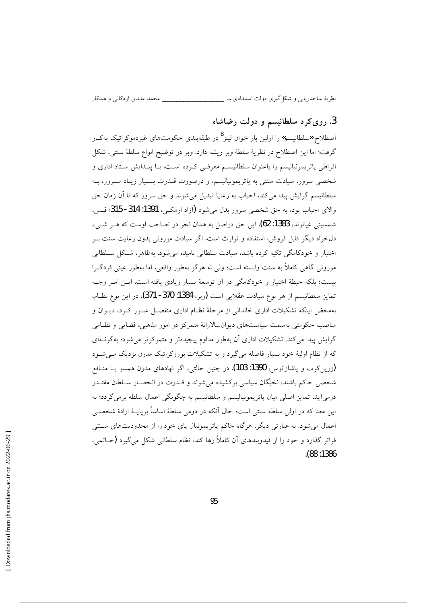نظريهٔ ساختاريابي و شكل گيري دولت استبدادي … \_\_\_\_\_\_\_\_\_\_\_\_\_\_\_\_\_\_\_\_\_ محمد عابدي اردكاني و همكار

### 3. روی کرد سلطانیسم و دولت رضاشاه

اصطلاح «سلطانیسم» را اولین بار خوان لینز<sup>8</sup> در طبقهبندی حکومتهای غیردموکراتیک بهکـار گرفت؛ اما اين اصطلاح در نظريهٔ سلطهٔ وبر ريشه دارد. وبر در توضيح انواع سلطهٔ سنتي، شکل افراطی پاتریمونیالیسم را باعنوان سلطانیسـم معرفـی کـرده اسـت. بـا پیـدایش سـتاد اداری و شخصی سرور، سیادت سنتی به پاتریمونیالیسم، و درصورت قــدرت بســیار زیــاد ســرور، بــه سلطانيسم گرايش پيدا مي كند. احباب به رعايا تبديل مي شوند و حق سرور كه تا آن زمان حق والاي احباب بود، به حق شخصي سرور بدل مي شود (آزاد ارمكـي، 1391: 314- 315؛ قـس. شمسيني غياثوند، 1383: 62). اين حق دراصل به همان نحو در تصاحب اوست كه هــر شــيء دلخواه دیگر قابل فروش، استفاده و توارث است. اگر سیادت موروثی بدون رعایت سنت بـر اختیار و خودکامگی تکیه کرده باشد، سیادت سلطانی نامیده می شود. بهظاهر، شکل سلطانی موروثي گاهي كاملاً به سنت وابسته است؛ ولي نه هرگز بهطور واقعي. اما بهطور عيني فردگـرا نیست؛ بلکه حیطهٔ اختیار و خودکامگی در آن توسعهٔ بسیار زیادی یافته است. ایــن امــر وجــه تمايز سلطانيسم از هر نوع سيادت عقلايي است (وبر، 1384: 370- 371). در اين نوع نظـام، بهمحض اینکه تشکیلات اداری خاندانی از مرحلهٔ نظـام اداری منفصـل عبـور کـرد، دیــوان و مناصب حکومتی بهسمت سیاستهای دیوانسالارانهٔ متمرکز در امور مذهبی، قضایی و نظـامی گرایش پیدا می کند. تشکیلات اداری آن بهطور مداوم پیچیدهتر و متمرکزتر می شود؛ بهگونــهای که از نظام اولیهٔ خود بسیار فاصله میگیرد و به تشکیلات بوروکراتیک مدرن نزدیک می شـود (زرین کوب و پاشازانوس، 1390: 103). در چنین حالتی، اگر نهادهای مدرن همسو بــا منــافع شخصی حاکم باشند، نخبگان سیاسی برکشیده می شوند و قــدرت در انحصــار ســلطان مقتــدر درمی]ید. تمایز اصلی میان پاتریمونیالیسم و سلطانیسم به چگونگی اعمال سلطه برمی گردد؛ به این معنا که در اولی سلطه سنتی است؛ حال آنکه در دومی سلطهٔ اساساً برپایــهٔ ارادهٔ شخصــی اعمال میشود. به عبارتی دیگر، هرگاه حاکم پاتریمونیال پای خود را از محدودیتهای سـنتی فراتر گذارد و خود را از قیدوبندهای آن کاملاً رها کند، نظام سلطانی شکل میگیرد (حـاتمی،  $. (88:1386)$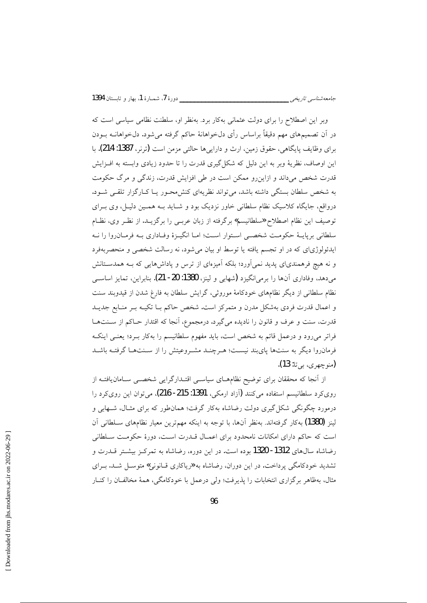وبر این اصطلاح را برای دولت عثمانی بهکار برد. بهنظر او، سلطنت نظامی سیاسی است که در آن تصمیمهای مهم دقیقاً براساس رأی دلخواهانهٔ حاکم گرفته میشود. دلخواهانــه بــودن برای وظایف پایگاهی، حقوق زمین، ارث و داراییها حالتی مزمن است (ترنر، 1387: 214). با این اوصاف، نظریهٔ وبر به این دلیل که شکل گیری قدرت را تا حدود زیادی وابسته به افـزایش قدرت شخص می داند و ازاین رو ممکن است در طی افزایش قدرت، زندگی و مرگ حکومت به شخص سلطان بستگی داشته باشد، می تواند نظریهای کنش محبور یبا کبارگزار تلقبی شبود. درواقع، جایگاه کلاسیک نظام سلطانی خاور نزدیک بود و شـاید بـه همـین دلیـل، وی بـرای توصيف اين نظام اصطلاح «سلطانيسم» برگرفته از زبان عربـي را برگزيــد. از نظـر وي، نظـام سلطاني بريايــهٔ حکومــت شخصــي اســتوار اســت؛ امــا انگيــزهٔ وفــاداري بــه فرمــان(وا را نــه ایدئولوژیای که در او تجسم یافته یا توسط او بیان می شود، نه رسالت شخصی و منحصربهفرد و نه هیچ فرهمندیای پدید نمی آورد؛ بلکه آمیزمای از ترس و پاداشهایی که بـه همدسـتانش می دهد، وفاداری آنها را برمی(نگیزد (شهابی و لینز، 1380: 20- 21). بنابراین، تمایز اساسبی نظام سلطانی از دیگر نظامهای خودکامهٔ موروثی، گرایش سلطان به فارغ شدن از قیدوبند سنت و اعمال قدرت فردي بهشكل مدرن و متمركز است. شخص حاكم بـا تكيـه بـر منـابع جديـد قدرت، سنت و عرف و قانون را نادیده میگیرد. درمجموع، آنجا که اقتدار حـاکم از سـنتهـا فراتر میرود و درعمل قائم به شخص است، باید مفهوم سلطانیسم را بهکار بـرد؛ یعنـی اینکـه فرمانروا دیگر به سنتها پایبند نیست؛ هـرچنـد مشـروعیتش را از سـنتهـا گرفتـه باشـد (منو چھری، بے تا: 13).

از آنجا که محققان برای توضیح نظامهــای سیاســی اقتـدارگرایی شخصــی ســامان یافتــه از رویکرد سلطانیسم استفاده میکنند (آزاد ارمکی، 1391: 215- 216)، میتوان این رویکرد را درمورد چگونگی شکل گیری دولت رضاشاه بهکار گرفت؛ همانطور که برای مثـال، شــهابی و لینز (1380) بهکار گرفتهاند. بهنظر آنها، با توجه به اینکه مهمترین معیار نظامهای سـلطانی آن است که حاکم دارای امکانات نامحدود برای اعمـال قــدرت اسـت، دورهٔ حکومـت سـلطانی رضاشاه سال@ای 1312- 1320 بوده است. در این دوره، رضاشاه به تمرکـز بیشـتر قــدرت و تشدید خودکامگی پرداخت. در این دوران، رضاشاه به «ریاکاری قـانونی» متوسـل شـد. بـرای مثال، بهظاهر برگزاری انتخابات را پذیرفت؛ ولی درعمل با خودکامگی، همهٔ مخالفـان را کنــار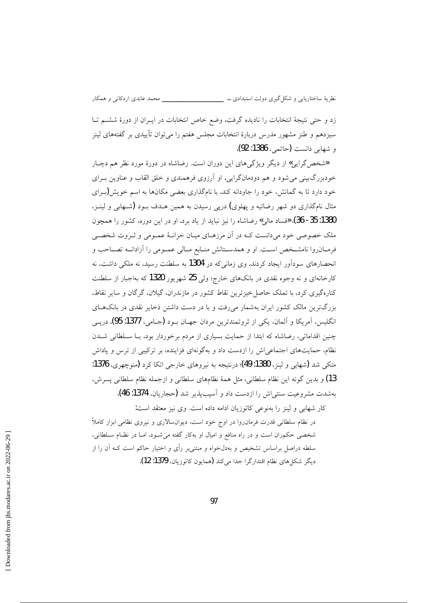زد و حتى نتيجهٔ انتخابات را ناديده گرفت. وضع خاص انتخابات در ايـران از دورهٔ ششـم تـا سیزدهم و طنز مشهور مدرس دربارهٔ انتخابات مجلس هفتم را میٍتوان تأییدی بر گفتههای لینز و شهایی دانست (حاتمی، 1386: 92).

هشخص گرایی» از دیگر ویژگیهای این دوران است. رضاشاه در دورهٔ مورد نظر هم دچـار خودبزرگ بینی می شود و هم دودمانگرایی. او آرزوی فرهمندی و خلق القاب و عناوین بـرای خود دارد تا به گمانش، خود را جاودانه کند. با نامگذاری بعضی مکانها به اسم خویش(برای مثال نامگذاری دو شهر رضائیه و پهلوی) دریی رسیدن به همین هــدف بــود (شــهابی و لینــز، 1380: 35- 36). «فساد مالي» رضاشاه را نيز نبايد از ياد برد. او در اين دوره، كشور را همچون ملک خصوصی خود میدانست کـه در آن مرزهـای میـان خزانـهٔ عمـومی و ثـروت شخصـی فرمـانروا نامشـخص اسـت. او و همدسـتانش منـابع مـالي عمـومي را آزادانــه تصــاحب و انحصارهای سودآور ایجاد کردند. وی زمانی که در 1304 به سلطنت رسید، نه ملکی داشت، نه کارخانهای و نه وجوه نقدی در بانکهای خارج؛ ولی 25 شهریور 1320 که بهاجبار از سلطنت کنارهگیری کرد، با تملک حاصل خیزترین نقاط کشور در مازندران، گیلان، گرگان و سایر نقاط، بزرگترین مالک کشور ایران بهشمار میرفت و با در دست داشتن ذخایر نقدی در بانکهای انگلیس، آمریکا و آلمان، یکی از ثروتمندترین مردان جهـان بــود (جــامی، 1377: 95). دریــی چنین اقداماتی، رضاشاه که ابتدا از حمایت بسیاری از مردم برخوردار بود، بـا سـلطانی شـدن نظام، حمایتهای اجتماعی اش را ازدست داد و بهگونهای فزاینده، بر ترکیبی از ترس و یاداش متکي شد (شهابي و لينز، 1380: 49)؛ درنتيجه به نيروهاي خارجي اتکا کرد (منوچهري، 1376: 13) و بدين گونه اين نظام سلطاني، مثل همهٔ نظامهاي سلطاني و ازجمله نظام سلطاني پسرش، بهشدت مشروعيت سنتي!ش را ازدست داد و آسيبپذير شد (حجاريان، 1374: 46).

كار شهابي و لينز را بهنوعي كاتوزيان ادامه داده است. وي نيز معتقد است: در نظام سلطانی قدرت فرمان روا در اوج خود است، دیوان سالاری و نیروی نظامی ابزار کاملاً شخصی حکمران است و در راه منافع و امیال او بهکار گفته می شـود. امـا در نظـام سـلطانی، سلطه دراصل براساس تشخیص و بهدلخواه و مبتنیبر رأی و اختیار حاکم است کـه آن را از ديگر شكل هاي نظام اقتدار گرا جدا مي كند (همايون كاتوزيان، 1379: 12).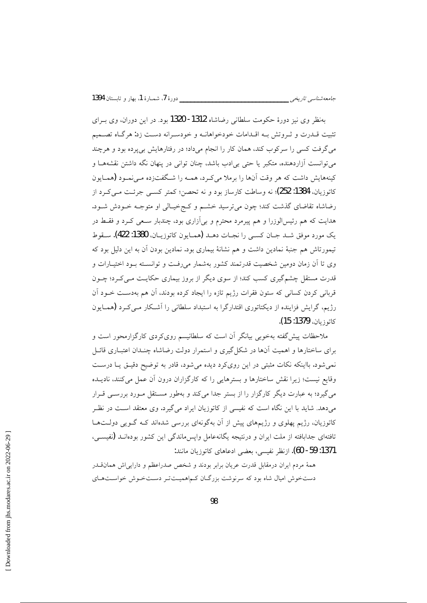بهنظر وي نيز دورهٔ حکومت سلطاني رضاشاه 1312- 1320 بود. در اين دوران، وي بـراي تثبیت قــدرت و ثــروتش بــه اقــدامات خودخواهانــه و خودســرانه دســت زد: هرگــاه تصـــمیم می گرفت کسی را سرکوب کند، همان کار را انجام میداد؛ در رفتارهایش بیپرده بود و هرچند میتوانست آزاردهنده، متکبر یا حتی بی|دب باشد، چنان توانی در پنهان نگه داشتن نقشههـا و کینههایش داشت که هر وقت آنها را برملا می کـرد، همـه را شـگفتزده مـی نمـود (همـایون کاتوزیان، 1384: 252)؛ نه وساطت کارساز بود و نه تحصن؛ کمتر کسبی جرئت مبے کے د از رضاشاه تقاضای گذشت کند؛ چون میترسید خشم و کج خیـالی او متوجـه خـودش شـود. هدایت که هم رئیسالوزرا و هم پیرمرد محترم و بیآزاری بود، چندبار سـعی کــرد و فقــط در يك مورد موفق شـد جـان كسـى را نجـات دهـد (همـايون كاتوزيـان، 1380: 422). سـقوط تیمورتاش هم جنبهٔ نمادین داشت و هم نشانهٔ بیماری بود. نمادین بودن آن به این دلیل بود که وی تا آن زمان دومین شخصیت قدرتمند کشور بهشمار میرفت و توانسته بود اختیارات و قدرت مستقل چشم گیری کسب کند؛ از سوی دیگر از بروز بیماری حکایـت مـی کـرد؛ چـون قربانی کردن کسانی که ستون فقرات رژیم تازه را ایجاد کرده بودند، آن هم بهدست خـود آن رژیم، گرایش فزاینده از دیکتاتوری اقتدارگرا به استبداد سلطانی را آشکار مـیکرد (همـایون كاتوزيان، 1379: 15).

ملاحظات پیش گفته بهخوبی بیانگر آن است که سلطانیسم رویکردی کارگزارمحور است و برای ساختارها و اهمیت آنها در شکل گیری و استمرار دولت رضاشاه چنـدان اعتبــاری قائــل نمی شود. بااینکه نکات مثبتی در این رویکرد دیده می شود، قادر به توضیح دقیـق یـا درسـت وقايع نيست؛ زيرا نقش ساختارها و بسترهايي را كه كارگزاران درون آن عمل مي كنند، ناديــده می گیرد؛ به عبارت دیگر کارگزار را از بستر جدا می کند و بهطور مسـتقل مـورد بررســی قـرار میدهد. شاید با این نگاه است که نفیسی از کاتوزیان ایراد میگیرد. وی معتقد اسـت در نظـر کاتوزیان، رژیم پهلوی و رژیمهای پیش از آن بهگونهای بررسی شدهاند کـه گـویی دولـتهـا تافتهای جدابافته از ملت ایران و درنتیجه یگانهعامل وایس ماندگی این کشور بودهانــد (نفیســی، 1371: 59- 60). ازنظر نفيسي، بعضي ادعاهاي كاتوزيان مانند:

همهٔ مردم ایران درمقابل قدرت عریان برابر بودند و شخص صدراعظم و داراییاش همان تدر دستخوش امیال شاه بود که سرنوشت بزرگان کهاهمیتتر دستخوش خواستهای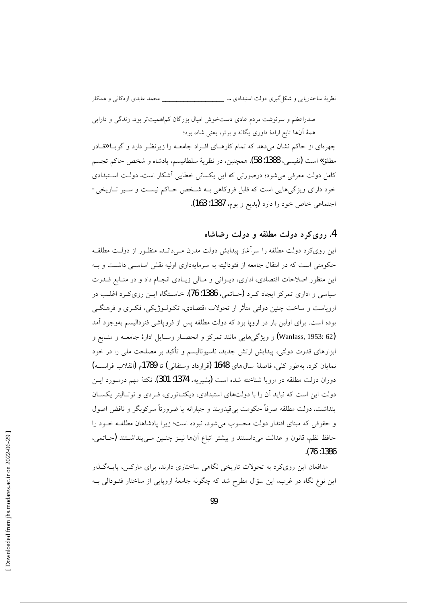نظريهٔ ساختاريابي و شكل گيري دولت استبدادي … \_\_\_\_\_\_\_\_\_\_\_\_\_\_\_\_\_\_\_\_\_ محمد عابدي اردكاني و همكار

صدراعظم و سرنوشت مردم عادی دستخوش امیال بزرگان کماهمیتتر بود. زندگی و دارایی همهٔ آنها تابع ارادهٔ داوری یگانه و برتر، یعنی شاه، بود؛

چهرهای از حاکم نشان میدهد که تمام کارهـای افـراد جامعـه را زیرنظـر دارد و گویــا «قـادر مطلق» است (نفيسي، 1388: 58). همچنين، در نظريهٔ سلطانيسم، يادشاه و شخص حاكم تجسم کامل دولت معرفی می شود؛ درصورتی که این یکسانی خطایی آشکار است. دولت استبدادی خود دارای ویژگیهایی است که قابل فروکاهی بـه شخص حـاکم نیسـت و سـیر تـاریخی-اجتماعي خاص خود را دارد (بديع و بوم، 1387: 163).

#### 4. روی کرد دولت مطلقه و دولت رضاشاه

این رویکرد دولت مطلقه را سراًغاز پیدایش دولت مدرن مـیدانـد. منظـور از دولـت مطلقـه حکومتی است که در انتقال جامعه از فئودالیته به سرمایهداری اولیه نقش اساســی داشــت و بــه این منظور اصلاحات اقتصادی، اداری، دیــوانی و مــالی زیــادی انجــام داد و در منــابع قــدرت سیاسی و اداری تمرکز ایجاد کرد (حیاتمی، 1386: 76). خاستگاه این روی کرد اغلب در اروپاست و ساخت چنین دولتی متأثر از تحولات اقتصادی، تکنولـوژیکی، فکـری و فرهنگـی بوده است. برای اولین بار در اروپا بود که دولت مطلقه پس از فروپاشی فئودالیسم بهوجود آمد (Wanlass, 1953: 62) و ويژگي هايي مانند تمركز و انحصـار وسـايل ادارهٔ جامعـه و منـابع و ابزارهای قدرت دولتی، پیدایش ارتش جدید، ناسیونالیسم و تأکید بر مصلحت ملی را در خود نمايان كرد. به طور كلي، فاصلهٔ سال0هاي 1648 (قرارداد وستفالي) تا 1789م (انقلاب فرانســه) دوران دولت مطلقه در اروپا شناخته شده است (بشیریه، 1374: 301). نکتهٔ مهم درمـورد ایــن دولت این است که نباید آن را با دولتهای استبدادی، دیکتـاتوری، فـردی و توتـالیتر یکسـان ينداشت. دولت مطلقه صرفاً حكومت بي قيدوبند و جبارانه يا ضرورتاً سركوبگر و ناقض اصول و حقوقی که مبنای اقتدار دولت محسوب می شود، نبوده است؛ زیرا یادشاهان مطلقـه خـود را حافظ نظم، قانون و عدالت مىدانستند و بيشتر اتباع آنها نيــز چنــين مــى پنداشــتند (حــاتمى،  $.76:1386$ 

مدافعان این رویکرد به تحولات تاریخی نگاهی ساختاری دارند. برای مارکس، پایــهگـذار این نوع نگاه در غرب، این سؤال مطرح شد که چگونه جامعهٔ اروپایی از ساختار فئــودالی بــه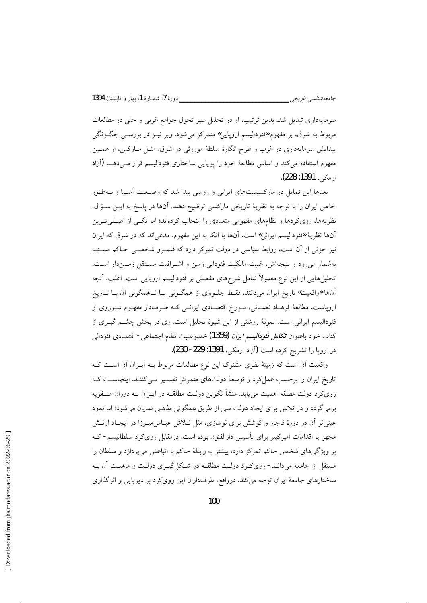جامعەشناسى تارىخى \_\_\_

سرمایهداری تبدیل شد. بدین ترتیب، او در تحلیل سیر تحول جوامع غربی و حتی در مطالعات مربوط به شرق، بر مفهوم «فئودالیسم اروپایی» متمرکز میشود. وبر نیـز در بررســی چگــونگـی پیدایش سرمایهداری در غرب و طرح انگارهٔ سلطهٔ موروثی در شرق، مثـل مــارکس، از همــین مفهوم استفاده می کند و اساس مطالعهٔ خود را پویایی ساختاری فئودالیسم قرار می دهـد (آزاد ارمكى، 1391: 228).

بعدها این تمایل در مارکسیستهای ایرانی و روسی پیدا شد که وضعیت آسـیا و بـهطـور خاص ايران را با توجه به نظرية تاريخي ماركسي توضيح دهند. آنها در پاسخ به ايـن سـؤال، نظریهها، رویکردها و نظامهای مفهومی متعددی را انتخاب کردهاند؛ اما یکسی از اصلبی تـرین آنها نظریهٔ «فئودالیسم ایرانی» است. آنها با اتکا به این مفهوم، مدعیاند که در شرق که ایران نیز جزئی از آن است، روابط سیاسی در دولت تمرکز دارد که قلمـرو شخصـی حـاکم مســتبد بهشمار می رود و نتیجهاش، غیبت مالکیت فئودالی زمین و اشـرافیت مسـتقل زمـیندار اسـت. تحلیل هایی از این نوع معمولاً شامل شرحهای مفصلی بر فئودالیسم اروپایی است. اغلب، آنچه آنها «واقعیت» تاریخ ایران میدانند، فقـط جلـوهای از همگـونی یـا نـاهمگونی آن بـا تــاریخ اروپاست. مطالعهٔ فرهـاد نعمـائی، مـورخ اقتصـادی ایرانـی کـه طـرفدار مفهـوم شـوروی از فئودالیسم ایرانی است، نمونهٔ روشنی از این شیوهٔ تحلیل است. وی در بخش چشــم گیــری از كتاب خود باعنوان ت*كامل فئوداليسم ايران* (1359) خصوصيت نظام اجتماع<sub>ى</sub>- اقتصادى فئودال<sub>ى</sub> در اروپا را تشریح کرده است (آزاد ارمکی، 1391: 229- 230).

واقعیت أن است که زمینهٔ نظری مشترک این نوع مطالعات مربوط بـه ایــران أن اســت کــه تاریخ ایران را برحسب عمل کرد و توسعهٔ دولتهای متمرکز تفسیر مـی کننـد. اینجاسـت کـه رویکرد دولت مطلقه اهمیت می،یابد. منشأ تکوین دولـت مطلقـه در ایــران بــه دوران صــفویه برمی گردد و در تلاش برای ایجاد دولت ملی از طریق همگونی مذهبی نمایان می شود؛ اما نمود عینی تر آن در دورهٔ قاجار و کوشش برای نوسازی، مثل تلاش عبـاس.میـرزا در ایجـاد ارتـش مجهز یا اقدامات امیرکبیر برای تأسیس دارالفنون بوده است. درمقابل رویکرد سلطانیسم- کـه بر ویژگیهای شخص حاکم تمرکز دارد، بیشتر به رابطهٔ حاکم با اتباعش میپردازد و سلطان را مستقل از جامعه میدانـد- رویکـرد دولـت مطلقــه در شــکل گیــری دولـت و ماهیـت آن بــه ساختارهای جامعهٔ ایران توجه میکند. درواقع، طرفداران این رویکرد بر دیرپایی و اثرگذاری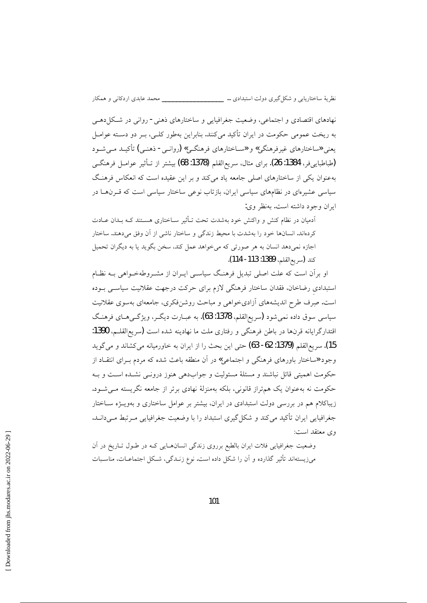نهادهای اقتصادی و اجتماعی، وضعیت جغرافیایی و ساختارهای ذهنی- روانی در شکل(دهــی به ریخت عمومی حکومت در ایران تأکید میکنند. بنابراین بهطور کلـی، بـر دو دسـته عوامـل یعنی «ساختارهای غیرفرهنگی» و «سـاختارهای فرهنگـی» (روانـی- ذهنـی) تأکیـد مـی شـود (طباطبايي فر، 1384: 26). براي مثال، سريع القلم (1378: 68) بيشتر از تـأثير عوامـل فرهنگـي بهعنوان یکی از ساختارهای اصلی جامعه یاد می کند و بر این عقیده است که انعکاس فرهنگ سیاسی عشیر مای در نظامهای سیاسی ایران، بازتاب نوعی ساختار سیاسی است که قبرنها در ايران وجود داشته است. بهنظر وي:

أدميان در نظام كنش و واكنش خود بهشدت تحت تـأثير ســاختاري هســتند كــه بــدان عــادت كردهاند. انسانها خود را بهشدت با محيط زندگي و ساختار ناشي از آن وفق مي دهند. ساختار اجازه نمیدهد انسان به هر صورتی که میخواهد عمل کند، سخن بگوید یا به دیگران تحمیل كند (سريع|لقلم، 1389: 113- 114).

او برآن است که علت اصلی تبدیل فرهنگ سیاسی ایـران از مشـروطهخـواهی بـه نظـام استبدادی رضاخان، فقدان ساختار فرهنگی لازم برای حرکت درجهت عقلانیت سیاسبی بـوده است. صِرف طرح اندیشههای آزادیخواهی و مباحث روشنفکری، جامعهای بهسوی عقلانیت سیاسی سوق داده نمیشود (سریع|لقلم، 1378: 63). به عبـارت دیگــر، ویژگــیهــای فرهنـگ اقتدارگرایانه قرنها در باطن فرهنگی و رفتاری ملت ما نهادینه شده است (سریع|لقلـم، 1390: 15). سريع|لقلم (1379: 62- 63) حتى اين بحث را از ايران به خاورميانه مى كشاند و مى گويد وجود «ساختار باورهای فرهنگی و اجتماعی» در آن منطقه باعث شده که مردم بـرای انتقـاد از حکومت اهمیتی قائل نباشند و مسئلهٔ مسئولیت و جوابدهی هنوز درونـی نشـده اسـت و بـه حکومت نه بهعنوان یک هم تراز قانونی، بلکه بهمنزلهٔ نهادی برتر از جامعه نگریسته مـی شـود. زیباکلام هم در بررسی دولت استبدادی در ایران، بیشتر بر عوامل ساختاری و بهویـــژه ســاختار جغرافیایی ایران تأکید میکند و شکل گیری استبداد را با وضعیت جغرافیایی مـرتبط مـیدانــد. وي معتقد است:

وضعیت جغرافیایی فلات ایران بالطبع برروی زندگی انسانهایی کـه در طـول تـاریخ در آن می;یستهاند تأثیر گذارده و آن را شکل داده است. نوع زنــدگی، شــکل اجتماعــات، مناســبات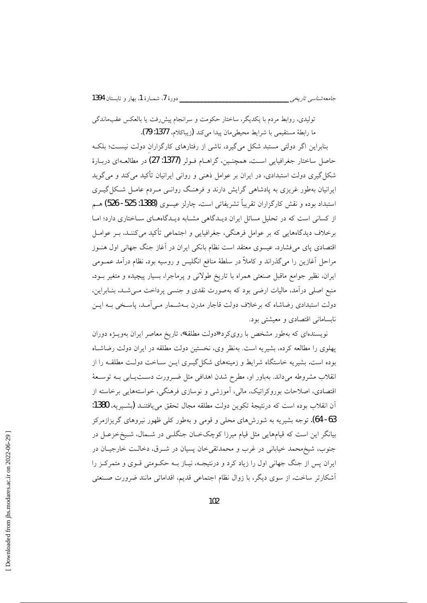تولیدی، روابط مردم با یکدیگر، ساختار حکومت و سرانجام پیشررفت یا بالعکس عقبماندگی ما رابطة مستقيمي با شرايط محيطيءان پيدا مي كند (زيباكلام، 1377: 79).

بنابراین اگر دولتی مستبد شکل می گیرد، ناشی از رفتارهای کارگزاران دولت نیسـت؛ بلکـه حاصل ساختار جغرافیایی است. همچنین، گراهــام فـولر (1377: 27) در مطالعــهای دربـارهٔ شکل گیری دولت استبدادی، در ایران بر عوامل ذهنی و روانی ایرانیان تأکید می کند و می گوید ایرانیان بهطور غریزی به پادشاهی گرایش دارند و فرهنگ روانـی مـردم عامـل شـكل گیـری استبداد بوده و نقش كارگزاران تقريباً تشريفاتي است. چارلز عيسوى (1388: 525- 526) هـم از کسانی است که در تحلیل مسائل ایران دیـدگاهی مشـابه دیـدگاههـای سـاختاری دارد؛ امـا برخلاف دیدگاههایی که بر عوامل فرهنگی، جغرافیایی و اجتماعی تأکید میکننـد، بــر عوامــل اقتصادی پای میفشارد. عیسوی معتقد است نظام بانکی ایران در آغاز جنگ جهانی اول هنـوز مراحل آغازین را می گذراند و کاملاً در سلطهٔ منافع انگلیس و روسیه بود. نظام درآمد عمــومی ایران، نظیر جوامع ماقبل صنعتی همراه با تاریخ طولانی و پرماجرا، بسیار پیچیده و متغیر بـود. منبع اصلی درآمد، مالیات ارضی بود که بهصورت نقدی و جنسی پرداخت مـیشـد. بنـابراین، دولت استبدادی رضاشاه که برخلاف دولت قاجار مدرن بـهشــمار مــیآمـد، پاســخی بــه ایــن نابسامانی اقتصادی و معیشتی بود.

نویسندهای که بهطور مشخص با رویکرد «دولت مطلقه»، تاریخ معاصر ایران بهویـژه دوران یهلوی را مطالعه کرده، بشیریه است. بهنظر وی، نخستین دولت مطلقه در ایران دولت رضاشاه بوده است. بشیریه خاستگاه شرایط و زمینههای شکل گیـری ایـن سـاخت دولـت مطلقـه را از انقلاب مشروطه میداند. بهباور او، مطرح شدن اهدافی مثل ضـرورت دسـتیـابی بـه توسـعهٔ اقتصادی، اصلاحات بوروکراتیک، مالی، اَموزشی و نوسازی فرهنگی، خواستههایی برخاسته از آن انقلاب بوده است که درنتیجهٔ تکوین دولت مطلقه مجال تحقق می یافتنـد (بشـیریه، 1380: 63- 64). توجه بشیریه به شورشهای محلبی و قومی و بهطور کلبی ظهور نیروهای گریزازمرکز بیانگر این است که قیامهایی مثل قیام میرزا کوچکخان جنگلـی در شــمال، شــیخخزعـل در جنوب، شیخ محمد خیابانی در غرب و محمدتقی خان پسیان در شـرق، دخالـت خارجیـان در ایران پس از جنگ جهانی اول را زیاد کرد و درنتیجـه، نیـاز بــه حکــومتی قــوی و متمرکــز را آشکارتر ساخت. از سوی دیگر، با زوال نظام اجتماعی قدیم، اقداماتی مانند ضرورت صنعتی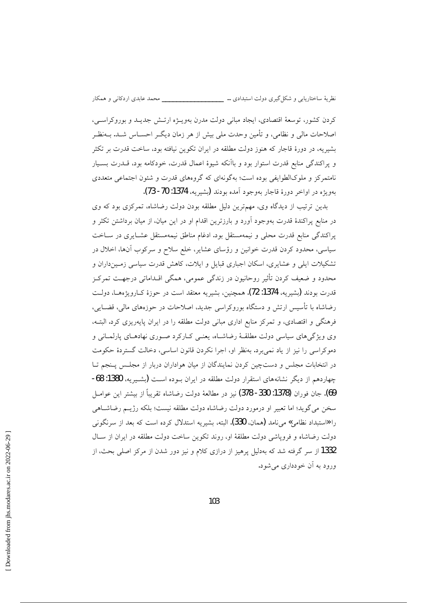کردن کشور، توسعهٔ اقتصادی، ایجاد مبانی دولت مدرن بهویـژه ارتـش جدیـد و بوروکراســی، اصلاحات مالی و نظامی، و تأمین وحدت ملی بیش از هر زمان دیگ احســاس شــد. بــهنظـر بشیریه، در دورهٔ قاجار که هنوز دولت مطلقه در ایران تکوین نیافته بود، ساخت قدرت بر تکثر و پراکندگی منابع قدرت استوار بود و باآنکه شیوهٔ اعمال قدرت، خودکامه بود، قــدرت بسـیار نامتمرکز و ملوکالطوایفی بوده است؛ بهگونهای که گروههای قدرت و شئون اجتماعی متعددی بهويژه در اواخر دورهٔ قاجار بهوجود آمده بودند (يشيريه، 1374: 70- 73).

بدین ترتیب از دیدگاه وی، مهمترین دلیل مطلقه بودن دولت رضاشاه، تمرکزی بود که وی در منابع پراکندهٔ قدرت بهوجود آورد و بارزترین اقدام او در این میان، از میان برداشتن تکثر و پراکندگی منابع قدرت محلی و نیمهمستقل بود. ادغام مناطق نیمهمستقل عشـایری در سـاخت سیاسی، محدود کردن قدرت خوانین و رؤسای عشایر، خلع سلاح و سرکوب آنها، اخلال در تشکیلات ایلی و عشایری، اسکان اجباری قبایل و ایلات، کاهش قدرت سیاسی زمین داران و محدود و ضعیف کردن تأثیر روحانیون در زندگی عمومی، همگی اقــداماتی درجهــت تمرکــز قدرت بودند (بشيريه، 1374: 72). همچنين، بشيريه معتقد است در حوزهٔ كـارويژههــا، دولــت رضاشاه با تأسیس ارتش و دستگاه بوروکراسی جدید، اصلاحات در حوزههای مالی، قضــایی، فرهنگی و اقتصادی، و تمرکز منابع اداری مبانی دولت مطلقه را در ایران پایهریزی کرد. البتـه، وی ویژگیهای سیاسی دولت مطلقـهٔ رضاشـاه، یعنـی کـارکرد صـوری نهادهـای پارلمـانی و دموکراسی را نیز از یاد نمی برد. بهنظر او، اجرا نکردن قانون اساسی، دخالت گستردهٔ حکومت در انتخابات مجلس و دستچین کردن نمایندگان از میان هواداران دربار از مجلس پـنجم تـا چهاردهم از دیگر نشانههای استقرار دولت مطلقه در ایران بــوده اســت (بشــیریه، 1380: 68-69). جان فوران (1378: 330- 378) نيز در مطالعهٔ دولت رضاشاه تقريباً از بيشتر اين عوامـل سخن مي گويد؛ اما تعبير او درمورد دولت رضاشاه دولت مطلقه نيست؛ بلكه رژيـم رضاشـاهي را «استبداد نظامی» می نامد (همان، 330). البته، بشیریه استدلال کرده است که بعد از سرنگونی دولت رضاشاه و فروياشي دولت مطلقهٔ او، روند تكوين ساخت دولت مطلقه در ايران از سـال 1332 از سر گرفته شد که بهدلیل پرهیز از درازی کلام و نیز دور شدن از مرکز اصلی بحث، از ورود به آن خودداری می شود.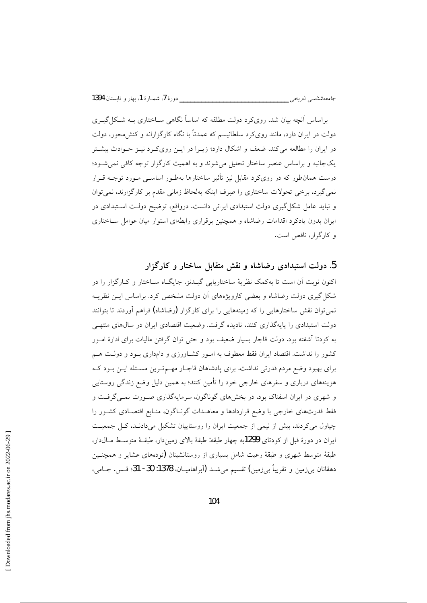جامعەشناسى تارىخى \_\_\_\_

براساس آنچه بیان شد، روی کرد دولت مطلقه که اساساً نگاهی سـاختاری بــه شـکل گیــری دولت در ایران دارد، مانند رویکرد سلطانیسم که عمدتاً با نگاه کارگزارانه و کنش،محور، دولت در ایران را مطالعه می کند، ضعف و اشکال دارد؛ زیــرا در ایــن رویکــرد نیــز حــوادث بیشــتر یکجانبه و براساس عنصر ساختار تحلیل میشوند و به اهمیت کارگزار توجه کافی نمیشـود؛ درست همانطور که در رویکرد مقابل نیز تأثیر ساختارها بهطـور اساسـبی مـورد توجـه قـرار نمي گيرد. برخي تحولات ساختاري را صرف اينكه بهلحاظ زماني مقدم بر كارگزارند، نمي توان و نباید عامل شکل گیری دولت استبدادی ایرانی دانست. درواقع، توضیح دولت استبدادی در ایران بدون یادکرد اقدامات رضاشاه و همچنین برقراری رابطهای استوار میان عوامل سـاختاری و کارگزار، ناقص است.

5. دولت استبدادی رضاشاه و نقش متقابل ساختار و کارگزار

اکنون نوبت اَن است تا بهکمک نظریهٔ ساختاریابی گیـدنز، جایگــاه ســاختار و کــارگزار را در شکل گیری دولت رضاشاه و بعضی کارویژههای آن دولت مشخص کرد. براساس این نظریـه نمی توان نقش ساختارهایی را که زمینههایی را برای کارگزار (رضاشاه) فراهم آوردند تا بتوانند دولت استبدادی را پایهگذاری کنند، نادیده گرفت. وضعیت اقتصادی ایران در سالهای منتهبی به کودتا آشفته بود. دولت قاجار بسیار ضعیف بود و حتی توان گرفتن مالیات برای ادارهٔ امـور کشور را نداشت. اقتصاد ایران فقط معطوف به امـور کشـاورزی و دامداری بـود و دولـت هـم برای بهبود وضع مردم قدرتی نداشت. برای پادشاهان قاجـار مهـمتـرین مسـئله ایـن بـود کـه هزینههای درباری و سفرهای خارجی خود را تأمین کنند؛ به همین دلیل وضع زندگی روستایی و شهری در ایران اسفناک بود. در بخشهای گوناگون، سرمایهگذاری صورت نمبی گرفت و فقط قدرتهای خارجی با وضع قراردادها و معاهــدات گونــاگون، منــابع اقتصــادی کشــور را چپاول میکردند. بیش از نیمی از جمعیت ایران را روستاییان تشکیل میدادند. کل جمعیت ايران در دورهٔ قبل از كودتاي 1299به چهار طبقه: طبقهٔ بالای زمیندار، طبقـهٔ متوسـط مـالدار، طبقهٔ متوسط شهری و طبقهٔ رعیت شامل بسیاری از روستانشینان (تودههای عشایر و همچنـین دهقانان بي زمين و تقريباً بي زمين) تقسيم مي شــد (آبراهاميــان، 1378: 30- 31؛ قــس. جــامي،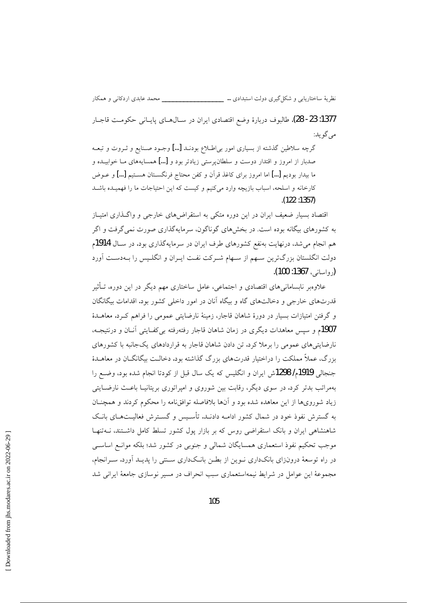نظريهٔ ساختاريابي و شكل گيري دولت استبدادي … \_\_\_\_\_\_\_\_\_\_\_\_\_\_\_\_\_\_\_\_\_ محمد عابدي اردكاني و همكار

1377: 23- 28). طالبوف دربارة وضع اقتصادى ايران در سـال1عـاى پايـانى حكومـت قاجـار مي گو يد:

گرچه سلاطین گذشته از بسیاری امور بی|طللاع بودنـد […] وجـود صـنایع و ثـروت و تبعـه صدبار از امروز و اقتدار دوست و سلطان، ستی زیادتر بود و […] همسایههای مــا خوابیــده و ما بيدار بوديم […] اما امروز براي كاغذ قرآن و كفن محتاج فرنگســتان هســتيم […] و عــوض كارخانه و اسلحه، اسباب بازيچه وارد مى كنيم و كيست كه اين احتياجات ما را فهميـده باشـد  $(122:1357)$ 

اقتصاد بسیار ضعیف ایران در این دوره متکی به استقراضهای خارجی و واگـذاری امتیـاز به کشورهای بیگانه بوده است. در بخشهای گوناگون، سرمایهگذاری صورت نمی گرفت و اگر هم انجام می شد، درنهایت بهنفع کشورهای طرف ایران در سرمایهگذاری بود. در سـال 1914م دولت انگلستان بزرگترین سـهم از سـهام شـرکت نفـت ایـران و انگلـیس را بــهدسـت آورد (دواسانی، 1367: 100).

علاوهبر نابسامانه های اقتصادی و اجتماعی، عامل ساختاری مهم دیگر در این دوره، تــأثیر قدرتهای خارجی و دخالتهای گاه و بیگاه آنان در امور داخلی کشور بود. اقدامات بیگانگان و گرفتن امتیازات بسیار در دورهٔ شاهان قاجار، زمینهٔ نارضایتی عمومی را فراهم کـرد. معاهـلـهٔ 1907م و سپس معاهدات دیگری در زمان شاهان قاجار رفتهرفته بی کفـایتی آنـان و درنتیجـه، نارضایتی های عمومی را برملا کرد. تن دادن شاهان قاجار به قراردادهای یک جانبه با کشورهای بزرگ، عملاً مملکت را دراختیار قدرتهای بزرگ گذاشته بود. دخالـت بیگانگــان در معاهــدهٔ جنجالی 1919م/ 1298ش ایران و انگلیس که یک سال قبل از کودتا انجام شده بود، وضع را بهمراتب بدتر کرد. در سوی دیگر، رقابت بین شوروی و امیراتوری بریتانیـا باعـث نارضــایتی زیاد شورویها از این معاهده شده بود و آنها بلافاصله توافقنامه را محکوم کردند و همچنــان به گسترش نفوذ خود در شمال کشور ادامـه دادنــد. تأســيس و گســترش فعاليــتـهــاي بانــک شاهنشاهی ایران و بانک استقراضی روس که بر بازار پول کشور تسلط کامل داشتند، نــهتنهـا موجب تحکیم نفوذ استعماری همسایگان شمالی و جنوبی در کشور شد؛ بلکه موانـع اساسـی در راه توسعهٔ درونزای بانکداری نـوین از بطـن بانـکداری سـنتی را پدیـد آورد. سـرانجام، مجموعهٔ این عوامل در شرایط نیمهاستعماری سبب انحراف در مسیر نوسازی جامعهٔ ایرانی شد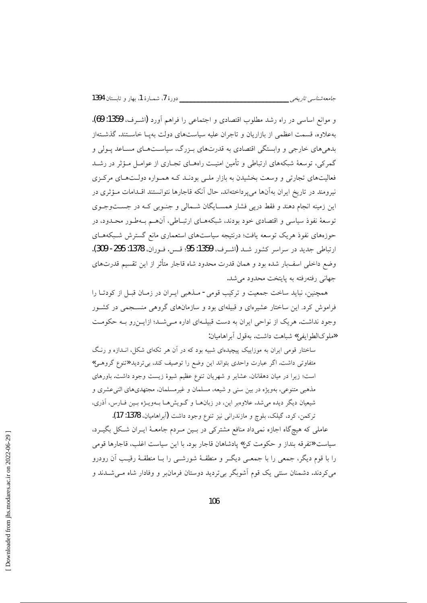و موانع اساسی در راه رشد مطلوب اقتصادی و اجتماعی را فراهم آورد (اشه ف، 1359: 69). بهعلاوه، قسمت اعظمی از بازاریان و تاجران علیه سیاستهای دولت بهیـا خاسـتند. گذشـتهاز بدهی های خارجی و وابستگی اقتصادی به قدرتهای بـزرگ، سیاسـتهـای مسـاعد پـولی و گمرکی، توسعهٔ شبکههای ارتباطی و تأمین امنیـت راههـای تجـاری از عوامــل مــؤثر در رشــد فعالیتهای تجارتی و وسعت بخشیدن به بازار ملبی بودنـد کـه همـواره دولــتهـای مرکـزی نیرومند در تاریخ ایران بهآنها می یرداختهاند. حال آنکه قاجارها نتوانستند اقــدامات مـؤثری در این زمینه انجام دهند و فقط دریبی فشار همسـایگان شـمالی و جنـوبی کـه در جسـتوجـوی توسعهٔ نفوذ سیاسی و اقتصادی خود بودند، شبکههـای ارتبـاطی، آنهـم بـهطـور محـدود، در حوزههای نفوذ هریک توسعه یافت؛ درنتیجه سیاستهای استعماری مانع گسترش شـبکههـای ارتباطي جديد در سراسر كشور شـد (اشـرف، 1359: 95؛ قـس. فـوران، 1378: 295- 309). وضع داخلي اسف بار شده بود و همان قدرت محدود شاه قاجار متأثر از اين تقسيم قدرتهاي جهانی رفتهرفته به پایتخت محدود می شد.

همچنین، نباید ساخت جمعیت و ترکیب قومی- مـذهبی ایـران در زمـان قبـل از کودتـا را فراموش کرد. این ساختار عشیرهای و قبیلهای بود و سازمانهای گروهی منسجمی در کشور وجود نداشت. هریک از نواحی ایران به دست قبیلهای اداره می شد؛ ازایـنرو بـه حکومـت «ملوكالطوايفي» شباهت داشت. بهقول آبر اهاميان:

ساختار قومی ایران به موزاییک پیچیدهای شبیه بود که در آن هر تکهای شکل، انــدازه و رنـگ متفاوتی داشت. اگر عبارت واحدی بتواند این وضع را توصیف کند، بیتردید «تنوع گروهـی» است؛ زیرا در میان دهقانان، عشایر و شهریان تنوع عظیم شیوهٔ زیست وجود داشت. باورهای مذهبی متنوعی، بهویژه در بین سنی و شیعه، مسلمان و غیرمسلمان، مجتهدیهای اثنیعشری و شیعیان دیگر دیده می شد. علاوهبر این، در زبانها و گـویش هـا بـهویـژه بـین فـارس، آذری، تركمن، كرد، گيلک، بلوچ و مازندراني نيز تنوع وجود داشت (آبراهاميان، 1378: 17).

عاملی که هیچگاه اجازه نمیداد منافع مشترکی در بـین مـردم جامعـهٔ ایـران شـکل بگیـرد، سياست «تفرقه بنداز و حكومت كن» پادشاهان قاجار بود. با اين سياست اغلب، قاجارها قومي را با قوم دیگر، جمعی را با جمعــی دیگــر و منطقــهٔ شورشــی را بــا منطقــهٔ رقیــب آن رودرو می کردند. دشمنان سنتی یک قوم اَشوبگر بیتردید دوستان فرمانبر و وفادار شاه مــیشــدند و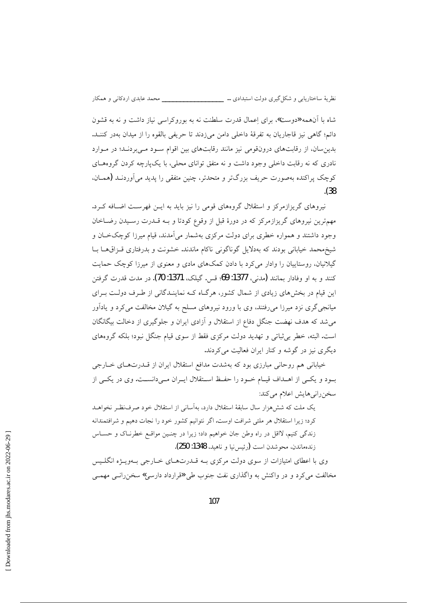شاه با آنهمه «دوست»، برای اعمال قدرت سلطنت نه به بوروکراسی نیاز داشت و نه به قشون دائم؛ گاهی نیز قاجاریان به تفرقهٔ داخلی دامن می(دند تا حریفی بالقوه را از میدان بهدر کننـد. بدین سان، از رقابتهای درونقومی نیز مانند رقابتهای بین اقوام سود مهیبردند؛ در موارد نادری که نه رقابت داخلی وجود داشت و نه متفق توانای محلی، با یکپارچه کردن گروههـای کوچک پراکنده بهصورت حریف بزرگتر و متحدتر، چنین متفقی را پدید می آوردنــد (همــان،  $(38)$ 

نیروهای گریزازمرکز و استقلال گروههای قومی را نیز باید به ایــن فهرســت اضــافه کــرد. مهمترین نیروهای گریزازمرکز که در دورهٔ قبل از وقوع کودتا و بـه قــدرت رســیدن رضــاخان وجود داشتند و همواره خطری برای دولت مرکزی بهشمار میآمدند، قیام میرزا کوچکخان و شیخ محمد خیابانی بودند که بهدلایل گوناگونی ناکام ماندند. خشونت و بدرفتاری قـزاق،هـا بــا گیلانیان، روستاییان را وادار می کرد با دادن کمکهای مادی و معنوی از میرزا کوچک حمایت كنند و به او وفادار بمانند (مدني، 1377: 69؛ قس. گيلک، 1371: 70). در مدت قدرت گرفتن این قیام در بخشهای زیادی از شمال کشور، هرگIه کـه نماینـدگانی از طـرف دولـت بـرای میانجیگری نزد میرزا می رفتند، وی با ورود نیروهای مسلح به گیلان مخالفت می کرد و یادآور می شد که هدف نهضت جنگل دفاع از استقلال و آزادی ایران و جلوگیری از دخالت بیگانگان است. البته، خطر برشاتی و تهدید دولت مرکزی فقط از سوی قیام جنگل نبود؛ بلکه گروههای دیگری نیز در گوشه و کنار ایران فعالیت می کردند.

خیابانی هم روحانی مبارزی بود که بهشدت مدافع استقلال ایران از قــدرتهـای خــارجی بود و یکسی از اهــداف قیــام خــود را حفــظ اســتقلال ایــران مــیدانســت. وی در یکــی از سخن رانی هایش اعلام میکند:

یک ملت که شش هزار سال سابقهٔ استقلال دارد، بهآسانی از استقلال خود صرف نظـر نخواهــد کرد؛ زیرا استقلال هر ملتبی شرافت اوست. اگر نتوانیم کشور خود را نجات دهیم و شرافتمندانه زندگی کنیم، لااقل در راه وطن جان خواهیم داد؛ زیرا در چنـین مواقـع خطرنـاک و حسـاس زندهماندن، محوشدن است (رئيس نيا و ناهيد، 1348: 250).

وی با اعطای امتیازات از سوی دولت مرکزی بــه قـــدرتهــای خــارجی بــهویـــژه انگلــیس مخالفت مي كرد و در واكنش به واگذاري نفت جنوب طي «قرارداد دارسي» سخن رانسي مهمسي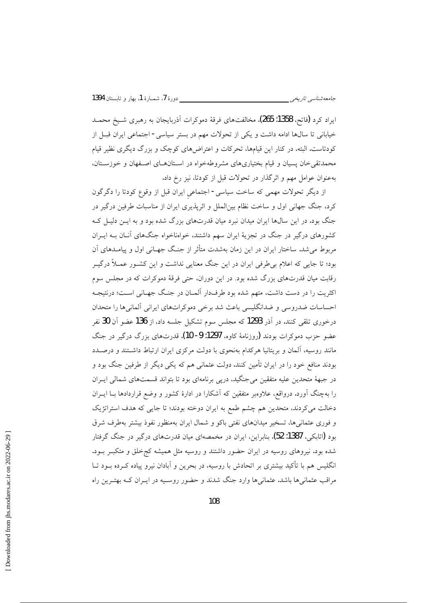ایراد کرد (فاتح، 1358: 265). مخالفتهای فرقهٔ دموکرات آذربایجان به رهبری شـیخ محمــد خیابانی تا سالها ادامه داشت و یکی از تحولات مهم در بستر سیاسی- اجتماعی ایران قبـل از کودتاست. البته، در کنار این قیامها، تحرکات و اعتراضهای کوچک و بزرگ دیگری نظیر قیام محمدتقی خان پسیان و قیام بختیاریهای مشروطهخواه در استانهای اصفهان و خوزستان، بهعنوان عوامل مهم و اثر گذار در تحولات قبل از کودتا، نیز رخ داد.

از دیگر تحولات مهمی که ساخت سیاسی- اجتماعی ایران قبل از وقوع کودتا را دگرگون کرد، جنگ جهانی اول و ساخت نظام بینالملل و اثرپذیری ایران از مناسبات طرفین درگیر در جنگ بود. در این سالها ایران میدان نبرد میان قدرتهای بزرگ شده بود و به ایـن دلیـل کـه کشورهای درگیر در جنگ در تجزیهٔ ایران سهم داشتند، خواهناخواه جنگهای آنـان بـه ایــران مربوط می شد. ساختار ایران در این زمان بهشدت متأثر از جنگ جهـانی اول و پیامـدهای آن بود؛ تا جایی که اعلام بی طرفی ایران در این جنگ معنایی نداشت و این کشـور عمـلاً درگیـر رقابت میان قدرتهای بزرگ شده بود. در این دوران، حتی فرقهٔ دموکرات که در مجلس سوم اکثریت را در دست داشت، متهم شده بود طرفدار آلمـان در جنـگ جهـانی اسـت؛ درنتيجـه احساسات ضدروسی و ضدانگلیسی باعث شد برخی دموکراتهای ایرانی آلمانی ها را متحدان درخوری تلقی کنند. در آذر 1293 که مجلس سوم تشکیل جلسه داد، از 136 عضو آن 30 نفر عضو حزب دموکرات بودند (روزنامهٔ کاوه، 1297: 9- 10). قدرتهای بزرگ درگیر در جنگ مانند روسیه، آلمان و بریتانیا هرکدام بهنحوی با دولت مرکزی ایران ارتباط داشـتند و درصـدد بودند منافع خود را در ایران تأمین کنند. دولت عثمانی هم که یکی دیگر از طرفین جنگ بود و در جبههٔ متحدین علیه متفقین می جنگید، دریبی برنامهای بود تا بتواند قسمتهای شمالی ایـران را بهچنگ آورد. درواقع، علاوهبر متفقین که آشکارا در ادارهٔ کشور و وضع قراردادها بــا ایــران دخالت میکردند، متحدین هم چشم طمع به ایران دوخته بودند؛ تا جایی که هدف استراتژیک و فوری عثمانیها، تسخیر میدانهای نفتی باکو و شمال ایران بهمنظور نفوذ بیشتر بهطرف شرق بود (اتابکی، 1387: 52). بنابراین، ایران در مخمصهای میان قدرتهای درگیر در جنگ گرفتار شده بود. نیروهای روسیه در ایران حضور داشتند و روسیه مثل همیشه کج خلق و متکبـر بـود. انگلیس هم با تأکید بیشتری بر اتحادش با روسیه، در بحرین و آبادان نیرو پیاده کـرده بــود تــا مراقب عثمانیها باشد. عثمانیها وارد جنگ شدند و حضور روسـیه در ایــران کــه بهتــرین راه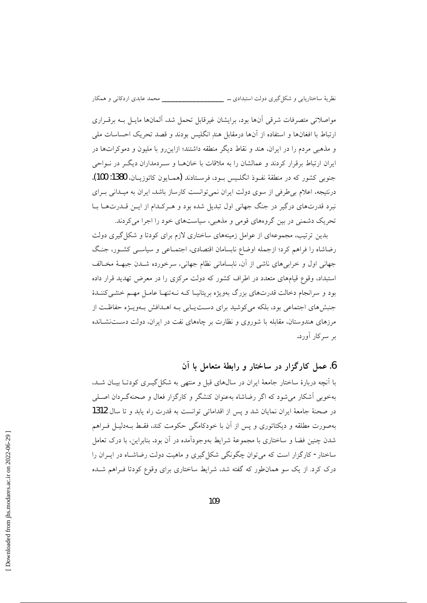مواصلاتی متصرفات شرقی آنها بود، برایشان غیرقابل تحمل شد. آلمانها مایـل بـه برقـراری ارتباط با افغانها و استفاده از آنها درمقابل هند انگلیس بودند و قصد تحریک احساسات ملی و مذهبی مردم را در ایران، هند و نقاط دیگر منطقه داشتند؛ ازاین رو با ملیون و دموکراتها در ایران ارتباط برقرار کردند و عمالشان را به ملاقات با خانهـا و سـردمداران دیگــر در نــواحی جنوبي كشور كه در منطقهٔ نفـوذ انگلـيس بـود، فرسـتادند (همـايون كاتوزيــان، 1380: 100). درنتیجه، اعلام بی طرفی از سوی دولت ایران نمی توانست کارساز باشد. ایران به میـدانی بـرای نبرد قدرتهای درگیر در جنگ جهانی اول تبدیل شده بود و هـرکـدام از ایــن قــدرتهــا بــا تحریک دشمنی در بین گروههای قومی و مذهبی، سیاستهای خود را اجرا می کردند.

بدین ترتیب، مجموعهای از عوامل زمینههای ساختاری لازم برای کودتا و شکل گیری دولت رضاشاه را فراهم کرد؛ ازجمله اوضاع نابسامان اقتصادی، اجتمـاعی و سیاســی کشــور، جنـگ جهانی اول و خرابیهای ناشی از آن، نابسامانی نظام جهانی، سرخورده شـدن جبهـهٔ مخـالف استبداد، وقوع قیامهای متعدد در اطراف کشور که دولت مرکزی را در معرض تهدید قرار داده بود و سرانجام دخالت قدرتهای بزرگ بهویژه بریتانیـا کـه نــهتنهـا عامــل مهــم خنثــی کننــدهٔ جنبشهای اجتماعی بود، بلکه می کوشید برای دست یابی بـه اهـدافش بـهویـژه حفاظـت از مرزهای هندوستان، مقابله با شوروی و نظارت بر چاههای نفت در ایران، دولت دســتنشــانده بر سرکار اَورد.

#### 6. عمل کارگزار در ساختار و رابطهٔ متعامل با آن

با آنچه دربارهٔ ساختار جامعهٔ ایران در سالهای قبل و منتهی به شکل گیــری کودتــا بیــان شــد، بهخوبی آشکار می شود که اگر رضاشاه بهعنوان کنشگر و کارگزار فعال و صحنهگردان اصلی در صحنهٔ جامعهٔ ایران نمایان شد و پس از اقداماتی توانست به قدرت راه پابد و تا سال 1312 بهصورت مطلقه و دیکتاتوری و پس از آن با خودکامگی حکومت کند، فقـط بــهدلیــل فــراهم شدن چنین فضا و ساختاری با مجموعهٔ شرایط بهوجودآمده در آن بود. بنابراین، با درک تعامل ساختار- کارگزار است که میتوان چگونگی شکل گیری و ماهیت دولت رضاشـاه در ایــران را درک کرد. از یک سو همانطور که گفته شد، شرایط ساختاری برای وقوع کودتا فـراهم شـده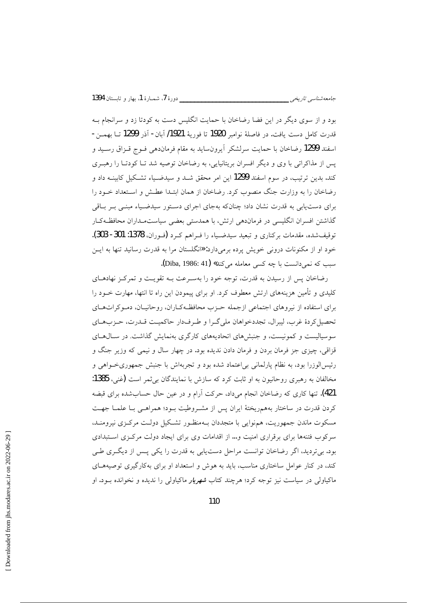بود و از سوی دیگر در این فضا رضاخان با حمایت انگلیس دست به کودتا زد و سرانجام بـه قدرت كامل دست يافت. در فاصلهٔ نوامبر 1920 تا فوريهٔ 1921/ آبان- آذر 1299 تــا بهمــن-اسفند 1299 رضاخان با حمایت سرلشکر آیرونساید به مقام فرماندهی فـوج قـزاق رسـید و پس از مذاکراتی با وی و دیگر افسران بریتانیایی، به رضاخان توصیه شد تـا کودتـا را رهبـری کند. بدین ترتیب، در سوم اسفند 1299 این امر محقق شــد و سیدضــیاء تشــکیل کابینــه داد و رضاخان را به وزارت جنگ منصوب کرد. رضاخان از همان ابتـدا عطـش و اسـتعداد خـود را برای دست یابی به قدرت نشان داد؛ چنانکه بهجای اجرای دستور سیدضـیاء مبنـی بـر بـاقی گذاشتن افسران انگلیسی در فرماندهی ارتش، با همدستی بعضی سیاستمـداران محافظـهکـار توقيفشده، مقدمات بركناري و تبعيد سيدضـياء را فـراهـم كـرد (فـوران، 1378: 301- 303). خود او از مکنونات درونی خویش پرده برمیدارد: «انگلستان مرا به قدرت رسانید تنها به ایـن سبب که نمیدانست با چه کسی معامله می کند» (Diba, 1986: 41).

رضاخان پس از رسیدن به قدرت، توجه خود را بهسـرعت بـه تقویـت و تمرکـز نهادهـای کلیدی و تأمین هزینههای ارتش معطوف کرد. او برای پیمودن این راه تا انتها، مهارت خــود را برای استفاده از نیروهای اجتماعی ازجمله حـزب محافظـهکـاران، روحانیــان، دمـوکراتهــای تحصیل کردهٔ غرب، لیبرال، تجددخواهان ملی گـرا و طـرفدار حاکمیـت قـدرت، حـزبهـای سوسیالیست و کمونیست، و جنبشهای اتحادیههای کارگری بهنمایش گذاشت. در سـال۱هـای قزاقي، چيزي جز فرمان بردن و فرمان دادن نديده بود. در چهار سال و نيمي كه وزير جنگ و رئیسالوزرا بود، به نظام پارلمانی بی|عتماد شده بود و تجربهاش با جنبش جمهوریخواهی و مخالفان به رهبری روحانیون به او ثابت کرد که سازش با نمایندگان بی ثمر است (غنی، 1385: 421). تنها کاری که رضاخان انجام میرداد، حرکت آرام و در عین حال حسابشده برای قبضه كردن قدرت در ساختار بههمريختهٔ ايران پس از مشـروطيت بـود؛ همراهـي بـا علمـا جهـت مسکوت ماندن جمهوریت، همهنوایی با متجددان بـهمنظـور تشـکیل دولـت مرکـزی نیرومنـد، سرکوب فتنهها برای برقراری امنیت و… از اقدامات وی برای ایجاد دولت مرکزی استبدادی بود. بی تردید، اگر رضاخان توانست مراحل دست یابی به قدرت را یکی پس از دیگری طبی کند، در کنار عوامل ساختاری مناسب، باید به هوش و استعداد او برای بهکارگیری توصیههـای ماکیاولی در سیاست نیز توجه کرد؛ هرچند کتاب *شهریار* ماکیاول<sub>ی</sub> را ندیده و نخوانده بــود. او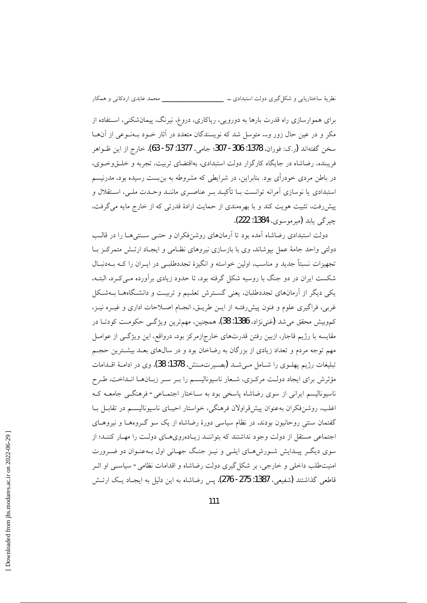برای هموارسازی راه قدرت بارها به دورویی، ریاکاری، دروغ، نیرنگ، پیمانشکنی، اسـتفاده از مکر و در عین حال زور و… متوسل شد که نویسندگان متعدد در آثار خـود بـهنـوعی از آنهـا سخن گفتهاند (ر.ک: فوران، 1378: 306- 307؛ جامی، 1377: 57- 63). خارج از این ظــواهر فریبنده، رضاشاه در جایگاه کارگزار دولت استبدادی، بهاقتضای تربیت، تجربه و خلـقوخـوی، در باطن مردی خودرأی بود. بنابراین، در شرایطی که مشروطه به بن بست رسیده بود، مدرنیسم استبدادی یا نوسازی آمرانه توانست بـا تأکیـد بـر عناصـری ماننـد وحـدت ملـی، اسـتقلال و پیش رفت، تثبیت هویت کند و با بهرهمندی از حمایت ارادهٔ قدرتی که از خارج مایه می گرفت، چيز گي پابد (مير موسوى، 1384: 222).

دولت استبدادی رضاشاه آمده بود تا آرمانهای روشنفکران و حتـبی سـنتبیهـا را در قالـب دولتی واحد جامهٔ عمل بپوشاند. وی با بازسازی نیروهای نظـامی و ایجـاد ارتـش متمرکـز بـا تجهیزات نسبتاً جدید و مناسب، اولین خواسته و انگیزهٔ تجددطلبے در ایــران را کـه بــهدنبــال شکست ایران در دو جنگ با روسیه شکل گرفته بود، تا حدود زیادی برآورده مبے ک د. البتـه، یکی دیگر از آرمانهای تجددطلبان، یعنی گسترش تعلیم و تربیت و دانشگاهها بـهشکل غربی، فراگیری علوم و فنون پیشررفتـه از ایـن طریـق، انجـام اصـلاحات اداری و غیــره نیــز، كموبيش محقق مي شد (غني نژاد، 1386: 38). همچنين، مهمترين ويژگـي حكومـت كودتــا در مقایسه با رژیم قاجار، ازبین رفتن قدرتهای خارج|زمرکز بود. درواقع، این ویژگی از عوامـل مهم توجه مردم و تعداد زیادی از بزرگان به رضاخان بود و در سالهای بعـد بیشـترین حجـم تبليغات رژيم يهلــوي را شــامل مــيشــد (بصـيرتمــنش، 1378: 38). وي در ادامــهٔ اقــدامات مؤثرش برای ایجاد دولت مرکـزی، شـعار ناسیونالیسـم را بـر سـر زبـانهـا انـداخت. طـرح ناسیونالیسم ایرانی از سوی رضاشاه پاسخی بود به سـاختار اجتمـاعی- فرهنگــی جامعــه کـه اغلب، روشنفكران بهعنوان پیشقراولان فرهنگی، خواستار احیـای ناسیونالیسـم در تقابـل بـا گفتمان سنتی روحانیون بودند. در نظام سیاسی دورهٔ رضاشاه از یک سو گـروههـا و نیروهـای اجتماعی مستقل از دولت وجود نداشتند که بتواننـد زیـادهرویهـای دولـت را مهـار کننـد؛ از سوی دیگـر پیـدایش شـورشهـای ایلـی و نیـز جنـگ جهـانی اول بـهعنـوان دو ضـرورت امنیتطلب داخلی و خارجی، بر شکل گیری دولت رضاشاه و اقدامات نظامی- سیاســی او اثــر قاطعی گذاشتند (شفیعی، 1387: 275- 276). پس رضاشاه به این دلیل به ایجـاد یـک ارتــش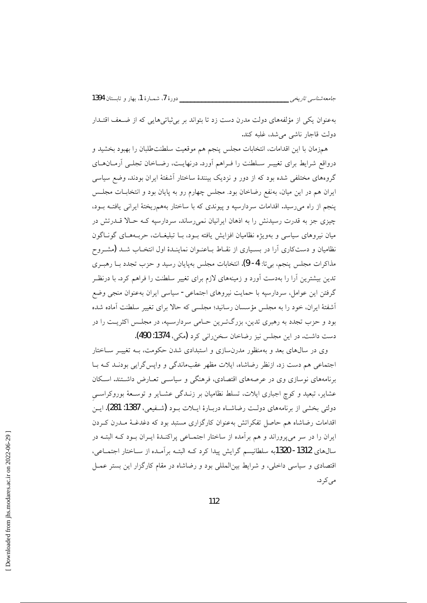بهعنوان یکی از مؤلفههای دولت مدرن دست زد تا بتواند بر بی ثباتی هایی که از ضـعف اقتـدار دولت قاجار ناشي مي شد، غلبه كند.

همزمان با این اقدامات، انتخابات مجلس پنجم هم موقعیت سلطنتطلبان را بهبود بخشید و درواقع شرايط براي تغييـر سـلطنت را فـراهم أورد. درنهايـت، رضـاخان تجلـي أرمـانهـاي گروههای مختلفی شده بود که از دور و نزدیک بینندهٔ ساختار آشفتهٔ ایران بودند. وضع سیاسی ایران هم در این میان، بهنفع رضاخان بود. مجلس چهارم رو به پایان بود و انتخابــات مجلــس پنجم از راه می رسید. اقدامات سردارسیه و پیوندی که با ساختار بههمریختهٔ ایرانی یافتـه بـود، چیزی جز به قدرت رسیدنش را به اذهان ایرانیان نمی رساند. سردارسیه کـه حـالا قـدرتش در میان نیروهای سیاسی و بهویژه نظامیان افزایش یافته بـود، بـا تبلیغـات، حربـههـای گونـاگون نظامیان و دستکاری آرا در بسـیاری از نقـاط بـاعنـوان نماینـدهٔ اول انتخـاب شـد (مشــروح مذاکرات مجلس پنجم، بیتا: 4- 9). انتخابات مجلس بهپایان رسید و حزب تجدد بــا رهبــری تدین بیشترین آرا را بهدست آورد و زمینههای لازم برای تغییر سلطنت را فراهم کرد. با درنظـر گرفتن این عوامل، سردارسپه با حمایت نیروهای اجتماعی- سیاسی ایران بهعنوان منجی وضع أشفتهٔ ایران، خود را به مجلس مؤسسان رسانید؛ مجلسی که حالا برای تغییر سلطنت آماده شده بود و حزب تجدد به رهبری تدین، بزرگترین حـامی سردارسـیه، در مجلـس اکثریـت را در دست داشت. در این مجلس نیز رضاخان سخن رانی کرد (مکی، 1374: 490).

وی در سالهای بعد و بهمنظور مدرنسازی و استبدادی شدن حکومت، بـه تغییـر سـاختار اجتماعی هم دست زد. ازنظر رضاشاه، ایلات مظهر عقبماندگی و واپس گرایی بودنـد کـه بـا برنامههای نوسازی وی در عرصههای اقتصادی، فرهنگی و سیاسـی تعـارض داشـتند. اسـکان عشایر، تبعید و کوچ اجباری ایلات، تسلط نظامیان بر زنـدگی عشـایر و توسـعهٔ بوروکراسـی دولتي بخشي از برنامههاي دولت رضاشـاه دربـارهٔ ايـلات بـود (شـفيعي، 1387: 281). ايـن اقدامات رضاشاه هم حاصل تفکراتش بهعنوان کارگزاری مستبد بود که دغدغـهٔ مـدرن کـردن ایران را در سر می پروراند و هم بر آمده از ساختار اجتمــاعی پراکنــدهٔ ایــران بــود کــه البتــه در سال های 1312- 1320به سلطانیسم گرایش پیدا کرد کـه البتـه برآمـده از سـاختار اجتمـاعی، اقتصادی و سیاسی داخلی، و شرایط بینالمللی بود و رضاشاه در مقام کارگزار این بستر عمـل می کر د.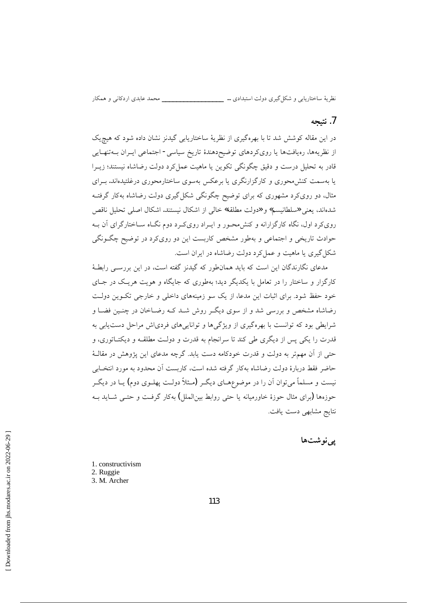\_\_\_\_\_\_ محمد عابدي اردکاني و همکار

نظريهٔ ساختاريابي و شکل گيري دولت استبدادي … \_\_\_\_

#### 7. نتيجه

در این مقاله کوشش شد تا با بهرهگیری از نظریهٔ ساختاریابی گیدنز نشان داده شود که هیچ یک از نظریهها، رەپافتها یا رویکردهای توضیح دهندۀ تاریخ سیاسی- اجتماعی ایـران بــه تنهـایی قادر به تحلیل درست و دقیق چگونگی تکوین یا ماهیت عمل کرد دولت رضاشاه نیستند؛ زیــرا یا بهسمت کنش،حوری و کارگزارنگری یا برعکس بهسوی ساختارمحوری درغلتیدهاند. بـرای مثال، دو رویکرد مشهوری که برای توضیح چگونگی شکل گیری دولت رضاشاه بهکار گرفتـه شدهاند، يعني «سلطانيسم» و «دولت مطلقه» خالي از اشكال نيستند. اشكال اصلي تحليل ناقص رویکرد اول، نگاه کارگزارانه و کنش محـور و ایـراد رویکـرد دوم نگـاه سـاختارگرای آن بـه حوادث تاریخی و اجتماعی و بهطور مشخص کاربست این دو رویکرد در توضیح چگـونگی شکل گیری یا ماهیت و عمل کرد دولت رضاشاه در ایران است.

مدعای نگارندگان این است که باید همانطور که گیدنز گفته است، در این بررســی رابطــهٔ کارگزار و ساختار را در تعامل با یکدیگر دید؛ بهطوری که جایگاه و هویت هریک در جـای خود حفظ شود. برای اثبات این مدعا، از یک سو زمینههای داخلی و خارجی تک وین دولت رضاشاه مشخص و بررسی شد و از سوی دیگ روش شبد کبه رضیاخان در چنبین فضیا و شرایطی بود که توانست با بهرهگیری از ویژگیها و تواناییهای فردیاش مراحل دست یابی به قدرت را یکی پس از دیگری طی کند تا سرانجام به قدرت و دولـت مطلقــه و دیکتــاتوری، و حتی از آن مهمتر به دولت و قدرت خودکامه دست یابد. گرچه مدعای این پژوهش در مقالـهٔ حاضر فقط دربارهٔ دولت رضاشاه بهکار گرفته شده است، کاربست آن محدود به مورد انتخـابی نیست و مسلماً می توان آن را در موضوعهـای دیگـر (مـثلاً دولـت پهلـوی دوم) یــا در دیگـر حوزهها (برای مثال حوزهٔ خاورمیانه یا حتی روابط بین(لملل) بهکار گرفت و حتبی شباید ببه نتايج مشابهي دست يافت.

يے نوشتها

1. constructivism 2. Ruggie 3. M. Archer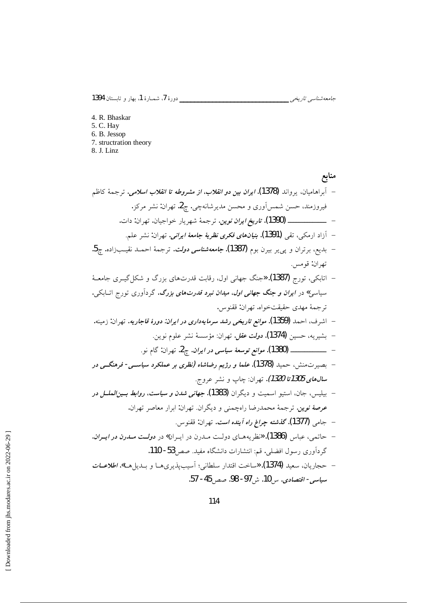جامعەشناسى تارىخى \_\_\_

4. R. Bhaskar 5. C. Hay 6. B. Jessop 7. structration theory 8. J. Linz

منابع – آبراهامیان، یرواند **(1378)**. *ایران بین دو انقلاب، از مشروطه تا انقلاب اسلامی.* ترجمهٔ کاظم فيروزمند، حسن شمس آوري و محسن مديرشانهچي. چ2. تهران: نشر مركز. – آزاد ارمکی، تقی **(1391).** *بنیانهای فکری نظریهٔ جامعهٔ ایرانی.* **ت**هران: نشر علم. – بديع، برتران و پ<sub>ى يىر</sub> بيرن بوم **(1387).** *جامعەشناسى دولت***.** ترجمهٔ احمـد نقيــبزاده. چ**5**. تهران: قومس. – اتابکی، تورج **(1387)**. «جنگ جهانی اول، رقابت قدرتهای بزرگ و شکل گیـری جامعـهٔ سیاسی» در *ایران و جنگ جهانی اول، میدان نبرد قدرتهای بزرگ*. گردآوری تورج اتـابکی. تر جمهٔ مهدی حقیقتخواه. تهران: ققنوس. – اشرف، احمد **(1359)**. *موانع تاریخی رشد سرمایهداری در ایران: دورهٔ قاجاریه*. تهران: زمینه. – يشيريه، حسين **(1374).** *دولت عقل.* **ت**هران: مؤسسة نشر علوم نوين. – بصیرتمنش، حمید (1378). علما و رژیم رضاشاه (نظری بر عملکرد سیاســی- فرهنگــی در س*ال های 1305تا 1320).* تهران: چاپ و نشر عروج. – بيليس، جان، استيو اسميت و ديگران **(1383).** *جهاني شدن و سياست، روابط بــين الملـــل در* عرصهٔ نوین. ترجمهٔ محمدرضا راهچمنی و دیگران. تهران: ابرار معاصر تهران. – جامي **(1377). گذشته چر***اغ راه آينده است***.** تهران: ققنوس. – حاتمي، عباس (1386). «نظريههاي دولت مـدرن در ايـران» در د*ولـت مـدرن در ايـران*. گردآوری رسول افضلی. قم: انتشارات دانشگاه مفید. صص 53- 110. – حجاريان، سعيد **(1374). «**ساخت اقتدار سلطاني؛ اَسيبپذيريهــا و بــديلهــا». *اطلاعــات* سياسي- اقتصادي. س 10. ش 97- 98. صص 45- 57.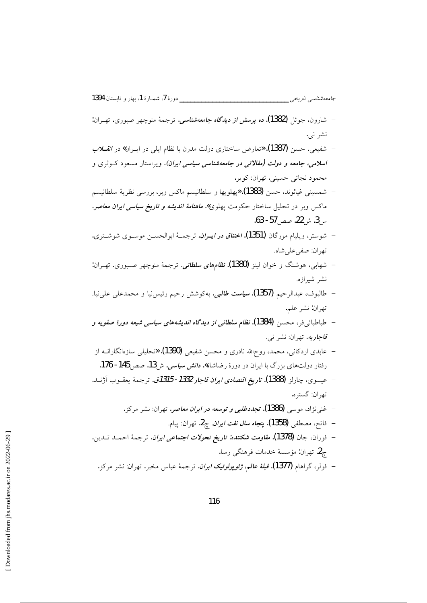- شارون، جوئا<sub>،</sub> (1382). ده برس*ش از دیدگاه جامعهشناسی.* ترجمهٔ منوچهر صبوری. تهـران: نشر نبي.
- شفیعی، حسن **(1387). «**تعارض ساختاری دولت مدرن با نظام ایلی در ایــران» در *انقـــلاب اسلامی، جامعه و دولت (مقالاتی در جامعهشناسی سیاسی ایران). ویراستار مسعود کـوثری و* محمود نجاتي حسيني. تهران: کوير.
- شمسيني غياثوند، حسن (1383). «پهلويها و سلطانيسم ماكس وبر، بررسي نظريهٔ سلطانيسم ماکس وبر در تحلیل ساختار حکومت پهلوی**».** *ماهنامهٔ اندیشه و تاریخ سیاسی ایران معاصر.* س 3. ش 22. صص 57- 63.
- شوستر، ويليام مورگان **(1351).** *اختناق در ايــران.* ترجمــهٔ ابوالحســن موســوى شوشــترى. تهران: صفي علي شاه.
- شهابی، هوشنگ و خوان لینز **(1380).** *نظامهای سلطانی***.** ترجمهٔ منوچهر صـبوری. تهــران: نشر شيرازه.
- طالبوف، عبدالرحيم **(1357).** *سياست طالبي***.** بهكوشش رحيم رئيس.نيا و محمدعلى على نيا. تهران: نشر علم.
- طباطبائ<sub>ی</sub> فر، محسن **(1384). نظام سلطانبی از دیدگاه اندیشههای سیاسبی شیعه دورهٔ صفویه و** قاجاريه. تهران: نشر نبي.
- عابدی اردکانی، محمد، روح\لله نادری و محسن شفیعی **(1390). «**تحلیلی سازەانگارانــه از رفتار دولتهای بزرگ با ایران در دورهٔ رضاشاه**».** *دانش سیاسی***.** ش13. صص145 - 176.
- عيسوى، چارلز (1388). تا**ريخ** *اقتصادى ايران قاجار 1332- 1315ق*. ترجمهٔ يعقــوب آژنــد. تهران: گستره.
	- غني نژاد، موسى **(1386). تج***ددطلبي و توسعه در ايران معاص***ر.** تهران: نشر مركز.
		- فاتح، مصطفى (1358). ينج*اه سال نفت ايران. چ*2. تهران: ييام.
- فوران، جان **(1378).** *مقاومت شكننده: تاريخ تحولات اجتماعي ايران***. ترجمهٔ احمــد ت**ــدين. ج2. تهران: مؤسسهٔ خدمات فرهنگی رسا.
	- فولر، گراهام **(1377).** *قبلهٔ عالم، ژئوپولوتیک ایران.* ترجمهٔ عباس مخبر. تهران: نشر مرکز.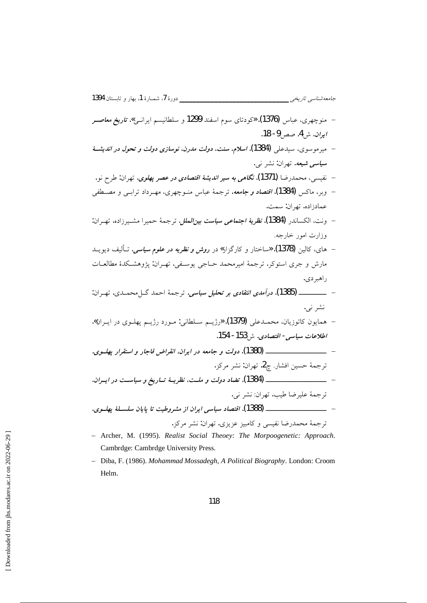- منوچهري، عباس (1376). «كودتاي سوم اسفند 1299 و سلطانيسم ايرانسي». تا**ري***خ معاصـر* ايران. ش4. صص9- 18.
- میرموسوی، سیدعلی (1384). *اسلام*، سنت، د*ولت مدرن، نوسازی دولت و تحول در اندیش*هٔ **سي***اسي شيعه.* تهران: نشر نبي.
- نفيسي، محمدرضا **(1371). نگاهي به سير** *انديشهٔ اقتصادي در عصر يهلوي***. ت**هران: طرح نو.
- وبر، ماکس **(1384).** *اقتصاد و جامعه***.** ترجمهٔ عباس منبوچهری، مهـ, داد ترابـ<sub>ي</sub> و مصــطفي عمادزاده. تهران: سمت.
- ونت، الكساندر (1384). *نظرية اجتماعي سياست بين الملل.* ترجمهٔ حميرا مشـيرزاده. تهـران: وزارت امور خارجه.
- های، کالین **(1378). «**ساختار و کارگزار**»** در *روش و نظریه در علوم سیاسی*. تــألیف دیویــد مارش و جری استوکر. ترجمهٔ امیرمحمد حــاجی یوسـفی. تهــران: پژوهشــکدهٔ مطالعــات راهبر دی.
- \_\_\_\_\_\_\_ (1385). درآم*دی انتقادی بر تحلیل سیاسی.* ترجمهٔ احمد گیل محمیدی. تهران: نشر نی.
- همايون كاتوزيان، محمــدعلى (1379). «رژيــم ســلطاني: مــورد رژيــم پهلــوي در ايــران». اطلاعات سياسي- اقتصادي. شي153- 154.
- ترجمة حسين افشار. چ2. تهران: نشر مركز.
- ترجمة عليرضا طيب. تهران: نشر ني.
- ترجمهٔ محمدرضا نفیسی و کامبیز عزیزی. تهران: نشر مرکز .
- Archer, M. (1995). Realist Social Theoey: The Morpoogenetic: Approach. Cambrdge: Cambrdge University Press.
- Diba, F. (1986). Mohammad Mossadegh, A Political Biography. London: Croom Helm.